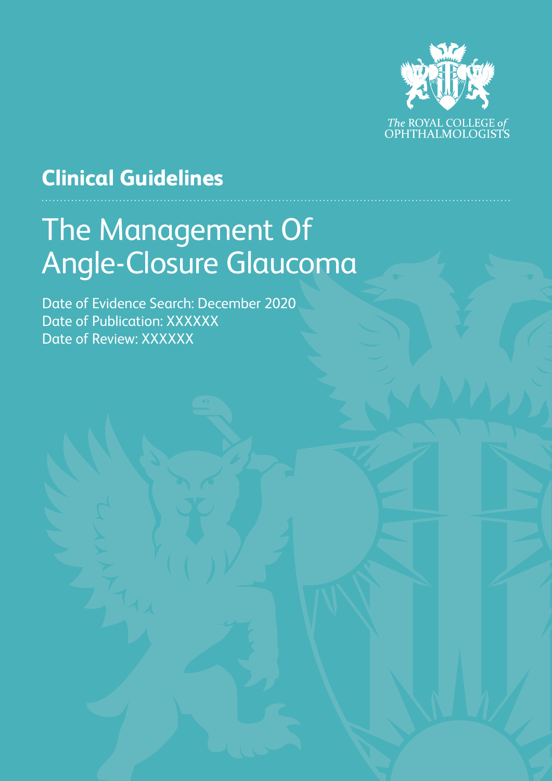

# **Clinical Guidelines**

# The Management Of Angle-Closure Glaucoma

Date of Evidence Search: December 2020 Date of Publication: XXXXXX Date of Review: XXXXXX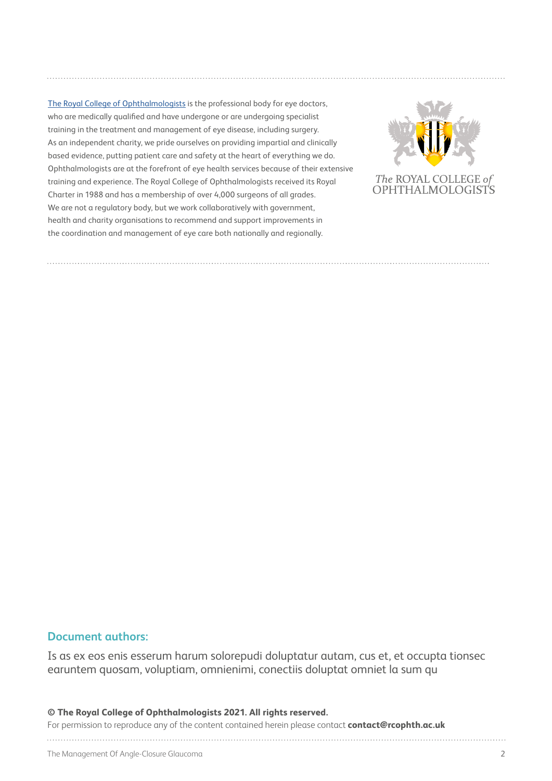[The Royal College of Ophthalmologists](https://www.rcophth.ac.uk) is the professional body for eye doctors, who are medically qualified and have undergone or are undergoing specialist training in the treatment and management of eye disease, including surgery. As an independent charity, we pride ourselves on providing impartial and clinically based evidence, putting patient care and safety at the heart of everything we do. Ophthalmologists are at the forefront of eye health services because of their extensive training and experience. The Royal College of Ophthalmologists received its Royal Charter in 1988 and has a membership of over 4,000 surgeons of all grades. We are not a regulatory body, but we work collaboratively with government, health and charity organisations to recommend and support improvements in the coordination and management of eye care both nationally and regionally.



#### **Document authors:**

Is as ex eos enis esserum harum solorepudi doluptatur autam, cus et, et occupta tionsec earuntem quosam, voluptiam, omnienimi, conectiis doluptat omniet la sum qu

#### **© The Royal College of Ophthalmologists 2021. All rights reserved.**

For permission to reproduce any of the content contained herein please contact **contact@rcophth.ac.uk**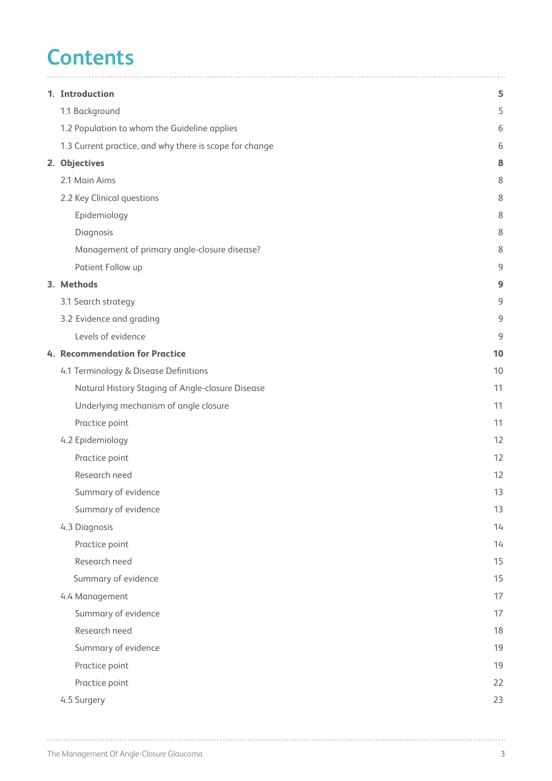# **Contents**

| 1. Introduction                                         | 5  |
|---------------------------------------------------------|----|
| 1.1 Background                                          | 5  |
| 1.2 Population to whom the Guideline applies            | 6  |
| 1.3 Current practice, and why there is scope for change | 6  |
| 2. Objectives                                           | 8  |
| 2.1 Main Aims                                           | 8  |
| 2.2 Key Clinical questions                              | 8  |
| Epidemiology                                            | 8  |
| Diagnosis                                               | 8  |
| Management of primary angle-closure disease?            | 8  |
| Patient Follow up                                       | 9  |
| 3. Methods                                              | 9  |
| 3.1 Search strategy                                     | 9  |
| 3.2 Evidence and grading                                | 9  |
| Levels of evidence                                      | 9  |
| 4. Recommendation for Practice                          | 10 |
| 4.1 Terminology & Disease Definitions                   | 10 |
| Natural History Staging of Angle-closure Disease        | 11 |
| Underlying mechanism of angle closure                   | 11 |
| Practice point                                          | 11 |
| 4.2 Epidemiology                                        | 12 |
| Practice point                                          | 12 |
| Research need                                           | 12 |
| Summary of evidence                                     | 13 |
| Summary of evidence                                     | 13 |
| 4.3 Diagnosis                                           | 14 |
| Practice point                                          | 14 |
| Research need                                           | 15 |
| Summary of evidence                                     | 15 |
| 4.4 Management                                          | 17 |
| Summary of evidence                                     | 17 |
| Research need                                           | 18 |
| Summary of evidence                                     | 19 |
| Practice point                                          | 19 |
| Practice point                                          | 22 |
| 4.5 Surgery                                             | 23 |

 $\ddot{\phantom{a}}$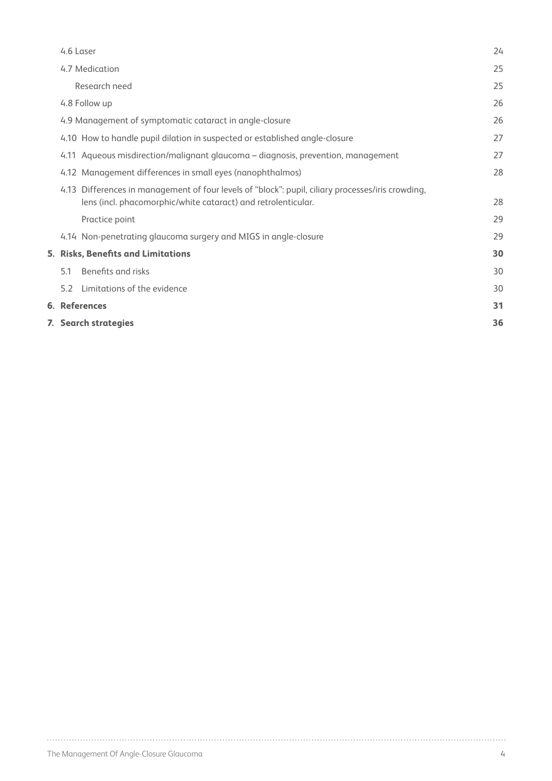|     | 7. Search strategies                                                                                                                                               | 36 |
|-----|--------------------------------------------------------------------------------------------------------------------------------------------------------------------|----|
|     | <b>6. References</b>                                                                                                                                               | 31 |
| 52  | Limitations of the evidence                                                                                                                                        | 30 |
| 5.1 | Benefits and risks                                                                                                                                                 | 30 |
|     | 5. Risks, Benefits and Limitations                                                                                                                                 | 30 |
|     | 4.14 Non-penetrating glaucoma surgery and MIGS in angle-closure                                                                                                    | 29 |
|     | Practice point                                                                                                                                                     | 29 |
|     | 4.13 Differences in management of four levels of "block": pupil, ciliary processes/iris crowding,<br>lens (incl. phacomorphic/white cataract) and retrolenticular. | 28 |
|     | 4.12 Management differences in small eyes (nanophthalmos)                                                                                                          | 28 |
|     | 4.11 Aqueous misdirection/malignant glaucoma - diagnosis, prevention, management                                                                                   | 27 |
|     | 4.10 How to handle pupil dilation in suspected or established angle-closure                                                                                        | 27 |
|     | 4.9 Management of symptomatic cataract in angle-closure                                                                                                            | 26 |
|     | 4.8 Follow up                                                                                                                                                      | 26 |
|     | Research need                                                                                                                                                      | 25 |
|     | 4.7 Medication                                                                                                                                                     | 25 |
|     | 4.6 Laser                                                                                                                                                          | 24 |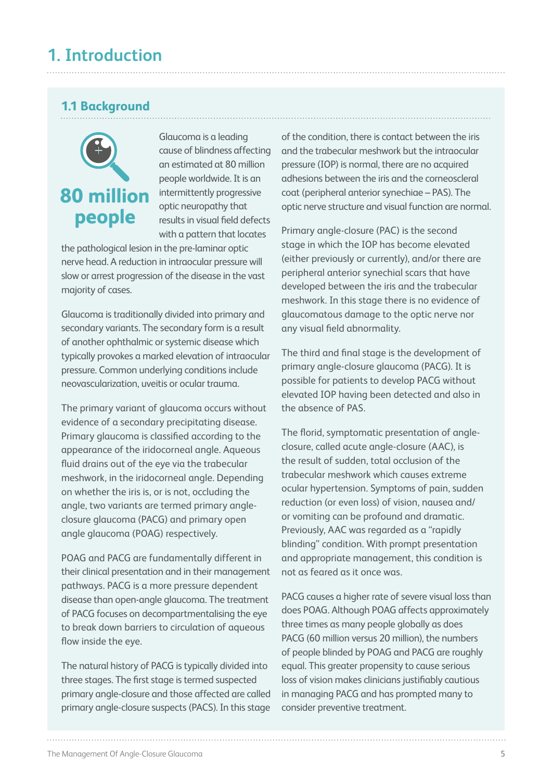## **1.1 Background**



Glaucoma is a leading cause of blindness affecting an estimated at 80 million people worldwide. It is an intermittently progressive optic neuropathy that results in visual field defects with a pattern that locates

the pathological lesion in the pre-laminar optic nerve head. A reduction in intraocular pressure will slow or arrest progression of the disease in the vast majority of cases.

Glaucoma is traditionally divided into primary and secondary variants. The secondary form is a result of another ophthalmic or systemic disease which typically provokes a marked elevation of intraocular pressure. Common underlying conditions include neovascularization, uveitis or ocular trauma.

The primary variant of glaucoma occurs without evidence of a secondary precipitating disease. Primary glaucoma is classified according to the appearance of the iridocorneal angle. Aqueous fluid drains out of the eye via the trabecular meshwork, in the iridocorneal angle. Depending on whether the iris is, or is not, occluding the angle, two variants are termed primary angleclosure glaucoma (PACG) and primary open angle glaucoma (POAG) respectively.

POAG and PACG are fundamentally different in their clinical presentation and in their management pathways. PACG is a more pressure dependent disease than open-angle glaucoma. The treatment of PACG focuses on decompartmentalising the eye to break down barriers to circulation of aqueous flow inside the eye.

The natural history of PACG is typically divided into three stages. The first stage is termed suspected primary angle-closure and those affected are called primary angle-closure suspects (PACS). In this stage

of the condition, there is contact between the iris and the trabecular meshwork but the intraocular pressure (IOP) is normal, there are no acquired adhesions between the iris and the corneoscleral coat (peripheral anterior synechiae – PAS). The optic nerve structure and visual function are normal.

Primary angle-closure (PAC) is the second stage in which the IOP has become elevated (either previously or currently), and/or there are peripheral anterior synechial scars that have developed between the iris and the trabecular meshwork. In this stage there is no evidence of glaucomatous damage to the optic nerve nor any visual field abnormality.

The third and final stage is the development of primary angle-closure glaucoma (PACG). It is possible for patients to develop PACG without elevated IOP having been detected and also in the absence of PAS.

The florid, symptomatic presentation of angleclosure, called acute angle-closure (AAC), is the result of sudden, total occlusion of the trabecular meshwork which causes extreme ocular hypertension. Symptoms of pain, sudden reduction (or even loss) of vision, nausea and/ or vomiting can be profound and dramatic. Previously, AAC was regarded as a "rapidly blinding" condition. With prompt presentation and appropriate management, this condition is not as feared as it once was.

PACG causes a higher rate of severe visual loss than does POAG. Although POAG affects approximately three times as many people globally as does PACG (60 million versus 20 million), the numbers of people blinded by POAG and PACG are roughly equal. This greater propensity to cause serious loss of vision makes clinicians justifiably cautious in managing PACG and has prompted many to consider preventive treatment.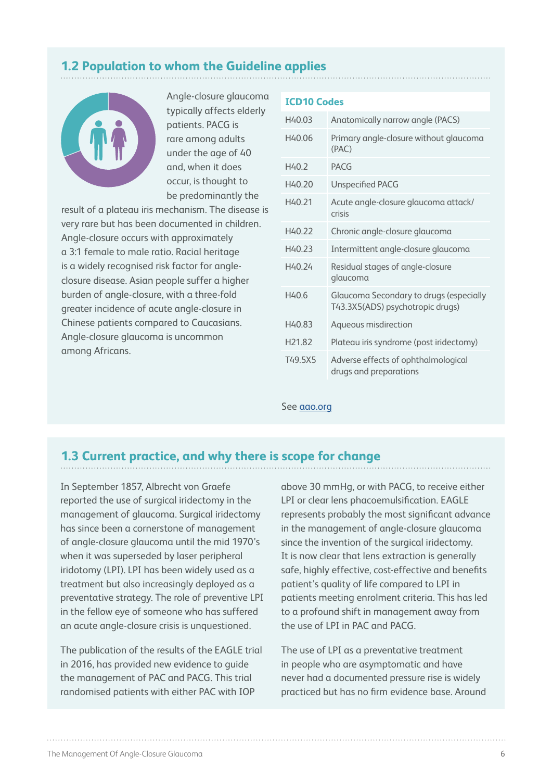## **1.2 Population to whom the Guideline applies**



Angle-closure glaucoma typically affects elderly patients. PACG is rare among adults under the age of 40 and, when it does occur, is thought to be predominantly the

result of a plateau iris mechanism. The disease is very rare but has been documented in children. Angle-closure occurs with approximately a 3:1 female to male ratio. Racial heritage is a widely recognised risk factor for angleclosure disease. Asian people suffer a higher burden of angle-closure, with a three-fold greater incidence of acute angle-closure in Chinese patients compared to Caucasians. Angle-closure glaucoma is uncommon among Africans.

#### **ICD10 Codes**

| H40.03             | Anatomically narrow angle (PACS)                                            |
|--------------------|-----------------------------------------------------------------------------|
| H40.06             | Primary angle-closure without glaucoma<br>(PAC)                             |
| H40.2              | <b>PACG</b>                                                                 |
| H40 20             | <b>Unspecified PACG</b>                                                     |
| H40 21             | Acute angle-closure glaucoma attack/<br>crisis                              |
| H40 22             | Chronic angle-closure glaucoma                                              |
| H40.23             | Intermittent angle-closure glaucoma                                         |
| H40.24             | Residual stages of angle-closure<br>glaucoma                                |
| H40.6              | Glaucoma Secondary to drugs (especially<br>T43.3X5(ADS) psychotropic drugs) |
| H40.83             | Aqueous misdirection                                                        |
| H <sub>21.82</sub> | Plateau iris syndrome (post iridectomy)                                     |
| T49.5X5            | Adverse effects of ophthalmological<br>drugs and preparations               |

See [aao.org](https://www.aao.org/Assets/5adb14a6-7e5d-42ea-af51-3db772c4b0c2/636713219263270000/bc-2568-update-icd-10-quick-reference-guides-glaucoma-final-v2-color-pdf?inline=1)

### **1.3 Current practice, and why there is scope for change**

In September 1857, Albrecht von Graefe reported the use of surgical iridectomy in the management of glaucoma. Surgical iridectomy has since been a cornerstone of management of angle-closure glaucoma until the mid 1970's when it was superseded by laser peripheral iridotomy (LPI). LPI has been widely used as a treatment but also increasingly deployed as a preventative strategy. The role of preventive LPI in the fellow eye of someone who has suffered an acute angle-closure crisis is unquestioned.

The publication of the results of the EAGLE trial in 2016, has provided new evidence to guide the management of PAC and PACG. This trial randomised patients with either PAC with IOP

above 30 mmHg, or with PACG, to receive either LPI or clear lens phacoemulsification. EAGLE represents probably the most significant advance in the management of angle-closure glaucoma since the invention of the surgical iridectomy. It is now clear that lens extraction is generally safe, highly effective, cost-effective and benefits patient's quality of life compared to LPI in patients meeting enrolment criteria. This has led to a profound shift in management away from the use of LPI in PAC and PACG.

The use of LPI as a preventative treatment in people who are asymptomatic and have never had a documented pressure rise is widely practiced but has no firm evidence base. Around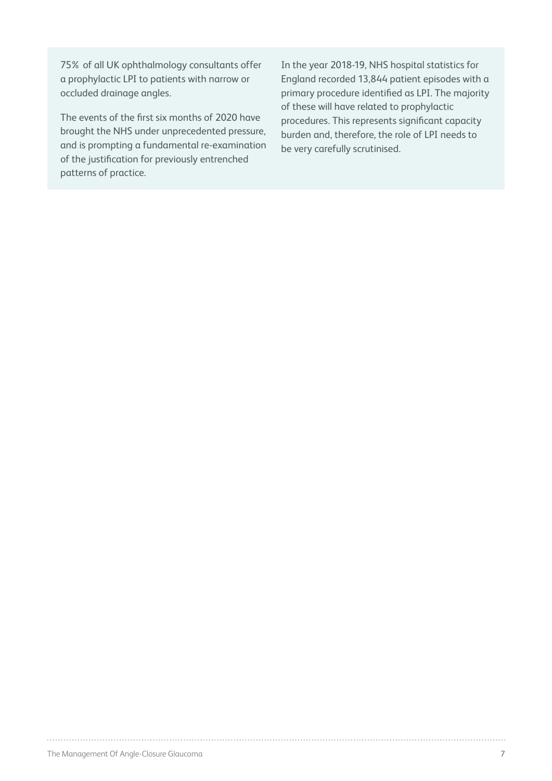75% of all UK ophthalmology consultants offer a prophylactic LPI to patients with narrow or occluded drainage angles.

The events of the first six months of 2020 have brought the NHS under unprecedented pressure, and is prompting a fundamental re-examination of the justification for previously entrenched patterns of practice.

In the year 2018-19, NHS hospital statistics for England recorded 13,844 patient episodes with a primary procedure identified as LPI. The majority of these will have related to prophylactic procedures. This represents significant capacity burden and, therefore, the role of LPI needs to be very carefully scrutinised.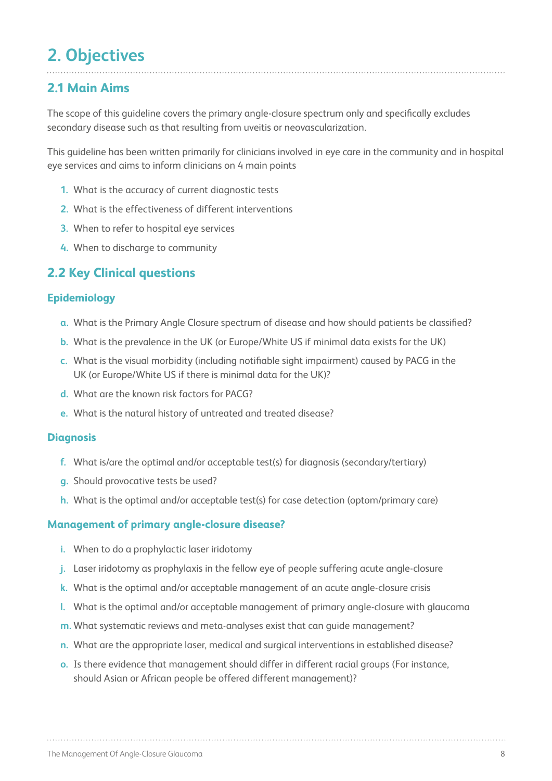## **2. Objectives**

## **2.1 Main Aims**

The scope of this guideline covers the primary angle-closure spectrum only and specifically excludes secondary disease such as that resulting from uveitis or neovascularization.

This guideline has been written primarily for clinicians involved in eye care in the community and in hospital eye services and aims to inform clinicians on 4 main points

- **1.** What is the accuracy of current diagnostic tests
- **2.** What is the effectiveness of different interventions
- **3.** When to refer to hospital eye services
- **4.** When to discharge to community

## **2.2 Key Clinical questions**

#### **Epidemiology**

- **a.** What is the Primary Angle Closure spectrum of disease and how should patients be classified?
- **b.** What is the prevalence in the UK (or Europe/White US if minimal data exists for the UK)
- **c.** What is the visual morbidity (including notifiable sight impairment) caused by PACG in the UK (or Europe/White US if there is minimal data for the UK)?
- **d.** What are the known risk factors for PACG?
- **e.** What is the natural history of untreated and treated disease?

#### **Diagnosis**

- **f.** What is/are the optimal and/or acceptable test(s) for diagnosis (secondary/tertiary)
- **g.** Should provocative tests be used?
- **h.** What is the optimal and/or acceptable test(s) for case detection (optom/primary care)

#### **Management of primary angle-closure disease?**

- **i.** When to do a prophylactic laser iridotomy
- **j.** Laser iridotomy as prophylaxis in the fellow eye of people suffering acute angle-closure
- **k.** What is the optimal and/or acceptable management of an acute angle-closure crisis
- **l.** What is the optimal and/or acceptable management of primary angle-closure with glaucoma
- **m.** What systematic reviews and meta-analyses exist that can guide management?
- **n.** What are the appropriate laser, medical and surgical interventions in established disease?
- **o.** Is there evidence that management should differ in different racial groups (For instance, should Asian or African people be offered different management)?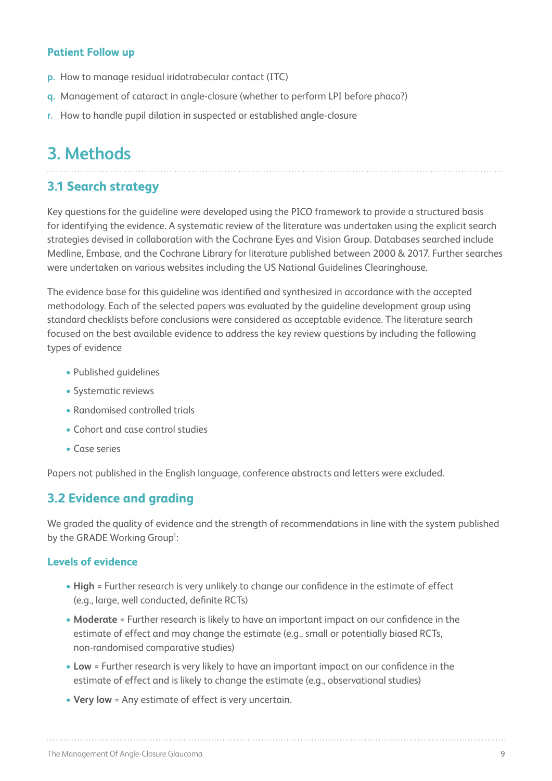#### **Patient Follow up**

- **p.** How to manage residual iridotrabecular contact (ITC)
- **q.** Management of cataract in angle-closure (whether to perform LPI before phaco?)
- **r.** How to handle pupil dilation in suspected or established angle-closure

## **3. Methods**

### **3.1 Search strategy**

Key questions for the guideline were developed using the PICO framework to provide a structured basis for identifying the evidence. A systematic review of the literature was undertaken using the explicit search strategies devised in collaboration with the Cochrane Eyes and Vision Group. Databases searched include Medline, Embase, and the Cochrane Library for literature published between 2000 & 2017. Further searches were undertaken on various websites including the US National Guidelines Clearinghouse.

The evidence base for this guideline was identified and synthesized in accordance with the accepted methodology. Each of the selected papers was evaluated by the guideline development group using standard checklists before conclusions were considered as acceptable evidence. The literature search focused on the best available evidence to address the key review questions by including the following types of evidence

- Published guidelines
- Systematic reviews
- Randomised controlled trials
- Cohort and case control studies
- Case series

Papers not published in the English language, conference abstracts and letters were excluded.

### **3.2 Evidence and grading**

We graded the quality of evidence and the strength of recommendations in line with the system published by the GRADE Working Group<sup>1</sup>:

#### **Levels of evidence**

- **• High** = Further research is very unlikely to change our confidence in the estimate of effect (e.g., large, well conducted, definite RCTs)
- **• Moderate** = Further research is likely to have an important impact on our confidence in the estimate of effect and may change the estimate (e.g., small or potentially biased RCTs, non-randomised comparative studies)
- **• Low** = Further research is very likely to have an important impact on our confidence in the estimate of effect and is likely to change the estimate (e.g., observational studies)
- **• Very low** = Any estimate of effect is very uncertain.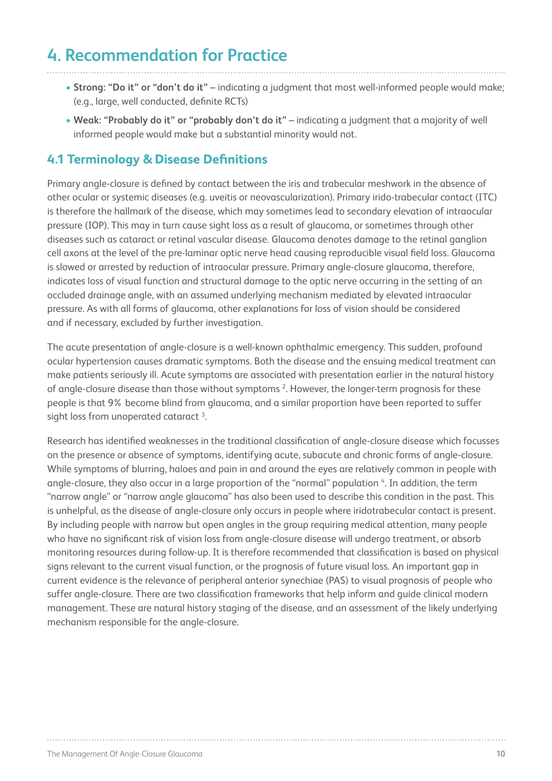## **4. Recommendation for Practice**

- **• Strong: "Do it" or "don't do it"** indicating a judgment that most well-informed people would make; (e.g., large, well conducted, definite RCTs)
- **• Weak: "Probably do it" or "probably don't do it"** indicating a judgment that a majority of well informed people would make but a substantial minority would not.

## **4.1 Terminology & Disease Definitions**

Primary angle-closure is defined by contact between the iris and trabecular meshwork in the absence of other ocular or systemic diseases (e.g. uveitis or neovascularization). Primary irido-trabecular contact (ITC) is therefore the hallmark of the disease, which may sometimes lead to secondary elevation of intraocular pressure (IOP). This may in turn cause sight loss as a result of glaucoma, or sometimes through other diseases such as cataract or retinal vascular disease. Glaucoma denotes damage to the retinal ganglion cell axons at the level of the pre-laminar optic nerve head causing reproducible visual field loss. Glaucoma is slowed or arrested by reduction of intraocular pressure. Primary angle-closure glaucoma, therefore, indicates loss of visual function and structural damage to the optic nerve occurring in the setting of an occluded drainage angle, with an assumed underlying mechanism mediated by elevated intraocular pressure. As with all forms of glaucoma, other explanations for loss of vision should be considered and if necessary, excluded by further investigation.

The acute presentation of angle-closure is a well-known ophthalmic emergency. This sudden, profound ocular hypertension causes dramatic symptoms. Both the disease and the ensuing medical treatment can make patients seriously ill. Acute symptoms are associated with presentation earlier in the natural history of angle-closure disease than those without symptoms 2. However, the longer-term prognosis for these people is that 9% become blind from glaucoma, and a similar proportion have been reported to suffer sight loss from unoperated cataract<sup>3</sup>.

Research has identified weaknesses in the traditional classification of angle-closure disease which focusses on the presence or absence of symptoms, identifying acute, subacute and chronic forms of angle-closure. While symptoms of blurring, haloes and pain in and around the eyes are relatively common in people with angle-closure, they also occur in a large proportion of the "normal" population 4. In addition, the term "narrow angle" or "narrow angle glaucoma" has also been used to describe this condition in the past. This is unhelpful, as the disease of angle-closure only occurs in people where iridotrabecular contact is present. By including people with narrow but open angles in the group requiring medical attention, many people who have no significant risk of vision loss from angle-closure disease will undergo treatment, or absorb monitoring resources during follow-up. It is therefore recommended that classification is based on physical signs relevant to the current visual function, or the prognosis of future visual loss. An important gap in current evidence is the relevance of peripheral anterior synechiae (PAS) to visual prognosis of people who suffer angle-closure. There are two classification frameworks that help inform and guide clinical modern management. These are natural history staging of the disease, and an assessment of the likely underlying mechanism responsible for the angle-closure.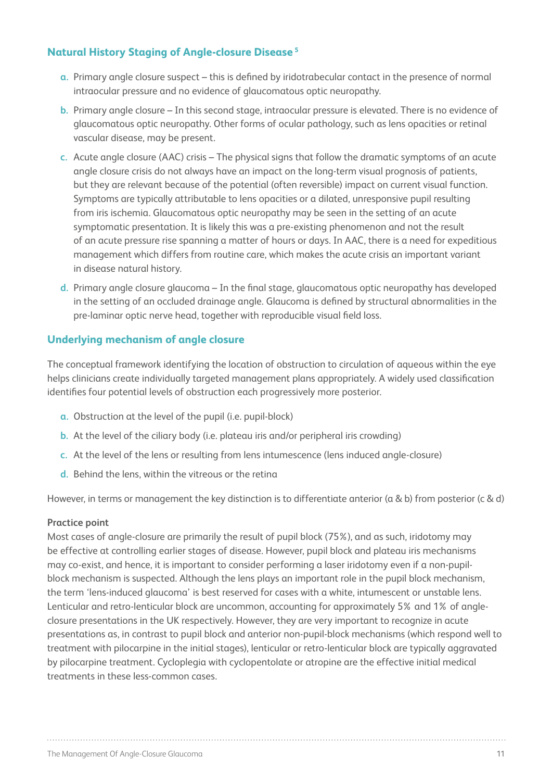#### **Natural History Staging of Angle-closure Disease 5**

- **a.** Primary angle closure suspect this is defined by iridotrabecular contact in the presence of normal intraocular pressure and no evidence of glaucomatous optic neuropathy.
- **b.** Primary angle closure In this second stage, intraocular pressure is elevated. There is no evidence of glaucomatous optic neuropathy. Other forms of ocular pathology, such as lens opacities or retinal vascular disease, may be present.
- **c.** Acute angle closure (AAC) crisis The physical signs that follow the dramatic symptoms of an acute angle closure crisis do not always have an impact on the long-term visual prognosis of patients, but they are relevant because of the potential (often reversible) impact on current visual function. Symptoms are typically attributable to lens opacities or a dilated, unresponsive pupil resulting from iris ischemia. Glaucomatous optic neuropathy may be seen in the setting of an acute symptomatic presentation. It is likely this was a pre-existing phenomenon and not the result of an acute pressure rise spanning a matter of hours or days. In AAC, there is a need for expeditious management which differs from routine care, which makes the acute crisis an important variant in disease natural history.
- **d.** Primary angle closure glaucoma In the final stage, glaucomatous optic neuropathy has developed in the setting of an occluded drainage angle. Glaucoma is defined by structural abnormalities in the pre-laminar optic nerve head, together with reproducible visual field loss.

#### **Underlying mechanism of angle closure**

The conceptual framework identifying the location of obstruction to circulation of aqueous within the eye helps clinicians create individually targeted management plans appropriately. A widely used classification identifies four potential levels of obstruction each progressively more posterior.

- **a.** Obstruction at the level of the pupil (i.e. pupil-block)
- **b.** At the level of the ciliary body (i.e. plateau iris and/or peripheral iris crowding)
- **c.** At the level of the lens or resulting from lens intumescence (lens induced angle-closure)
- **d.** Behind the lens, within the vitreous or the retina

However, in terms or management the key distinction is to differentiate anterior (a & b) from posterior (c & d)

#### **Practice point**

Most cases of angle-closure are primarily the result of pupil block (75%), and as such, iridotomy may be effective at controlling earlier stages of disease. However, pupil block and plateau iris mechanisms may co-exist, and hence, it is important to consider performing a laser iridotomy even if a non-pupilblock mechanism is suspected. Although the lens plays an important role in the pupil block mechanism, the term 'lens-induced glaucoma' is best reserved for cases with a white, intumescent or unstable lens. Lenticular and retro-lenticular block are uncommon, accounting for approximately 5% and 1% of angleclosure presentations in the UK respectively. However, they are very important to recognize in acute presentations as, in contrast to pupil block and anterior non-pupil-block mechanisms (which respond well to treatment with pilocarpine in the initial stages), lenticular or retro-lenticular block are typically aggravated by pilocarpine treatment. Cycloplegia with cyclopentolate or atropine are the effective initial medical treatments in these less-common cases.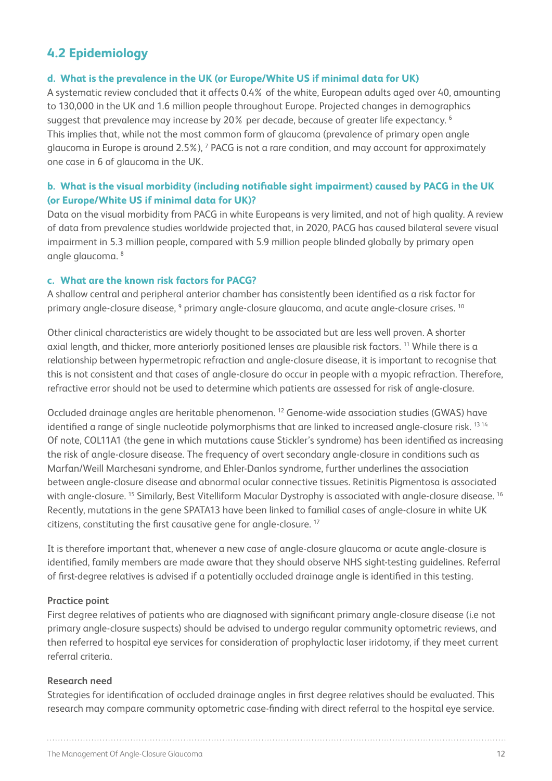## **4.2 Epidemiology**

#### **d. What is the prevalence in the UK (or Europe/White US if minimal data for UK)**

A systematic review concluded that it affects 0.4% of the white, European adults aged over 40, amounting to 130,000 in the UK and 1.6 million people throughout Europe. Projected changes in demographics suggest that prevalence may increase by 20% per decade, because of greater life expectancy.<sup>6</sup> This implies that, while not the most common form of glaucoma (prevalence of primary open angle glaucoma in Europe is around 2.5%), <sup>7</sup> PACG is not a rare condition, and may account for approximately one case in 6 of glaucoma in the UK.

#### **b. What is the visual morbidity (including notifiable sight impairment) caused by PACG in the UK (or Europe/White US if minimal data for UK)?**

Data on the visual morbidity from PACG in white Europeans is very limited, and not of high quality. A review of data from prevalence studies worldwide projected that, in 2020, PACG has caused bilateral severe visual impairment in 5.3 million people, compared with 5.9 million people blinded globally by primary open angle glaucoma. 8

#### **c. What are the known risk factors for PACG?**

A shallow central and peripheral anterior chamber has consistently been identified as a risk factor for primary angle-closure disease, <sup>9</sup> primary angle-closure glaucoma, and acute angle-closure crises. <sup>10</sup>

Other clinical characteristics are widely thought to be associated but are less well proven. A shorter axial length, and thicker, more anteriorly positioned lenses are plausible risk factors. 11 While there is a relationship between hypermetropic refraction and angle-closure disease, it is important to recognise that this is not consistent and that cases of angle-closure do occur in people with a myopic refraction. Therefore, refractive error should not be used to determine which patients are assessed for risk of angle-closure.

Occluded drainage angles are heritable phenomenon. 12 Genome-wide association studies (GWAS) have identified a range of single nucleotide polymorphisms that are linked to increased angle-closure risk.<sup>1314</sup> Of note, COL11A1 (the gene in which mutations cause Stickler's syndrome) has been identified as increasing the risk of angle-closure disease. The frequency of overt secondary angle-closure in conditions such as Marfan/Weill Marchesani syndrome, and Ehler-Danlos syndrome, further underlines the association between angle-closure disease and abnormal ocular connective tissues. Retinitis Pigmentosa is associated with angle-closure. <sup>15</sup> Similarly, Best Vitelliform Macular Dystrophy is associated with angle-closure disease. <sup>16</sup> Recently, mutations in the gene SPATA13 have been linked to familial cases of angle-closure in white UK citizens, constituting the first causative gene for angle-closure. 17

It is therefore important that, whenever a new case of angle-closure glaucoma or acute angle-closure is identified, family members are made aware that they should observe NHS sight-testing guidelines. Referral of first-degree relatives is advised if a potentially occluded drainage angle is identified in this testing.

#### **Practice point**

First degree relatives of patients who are diagnosed with significant primary angle-closure disease (i.e not primary angle-closure suspects) should be advised to undergo regular community optometric reviews, and then referred to hospital eye services for consideration of prophylactic laser iridotomy, if they meet current referral criteria.

#### **Research need**

Strategies for identification of occluded drainage angles in first degree relatives should be evaluated. This research may compare community optometric case-finding with direct referral to the hospital eye service.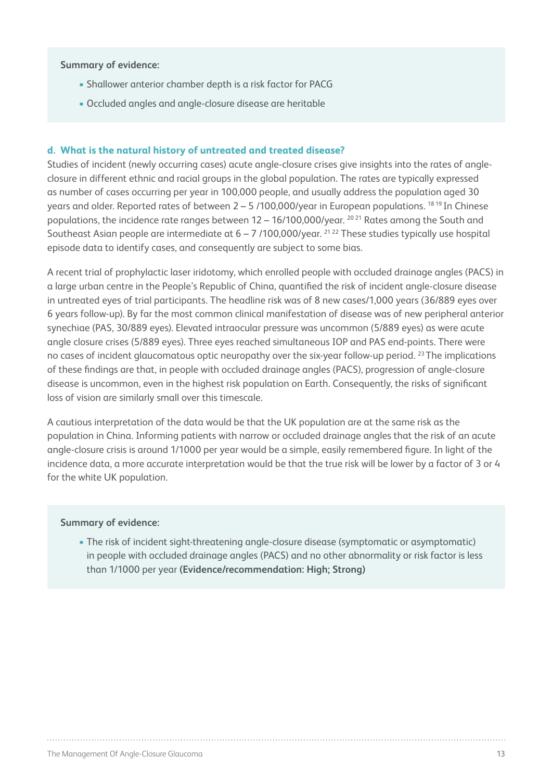#### **Summary of evidence:**

- Shallower anterior chamber depth is a risk factor for PACG
- Occluded angles and angle-closure disease are heritable

#### **d. What is the natural history of untreated and treated disease?**

Studies of incident (newly occurring cases) acute angle-closure crises give insights into the rates of angleclosure in different ethnic and racial groups in the global population. The rates are typically expressed as number of cases occurring per year in 100,000 people, and usually address the population aged 30 years and older. Reported rates of between  $2 - 5/100.000$ /year in European populations. <sup>18 19</sup> In Chinese populations, the incidence rate ranges between 12 – 16/100,000/year. 20 21 Rates among the South and Southeast Asian people are intermediate at  $6 - 7/100,000$ /year. <sup>21 22</sup> These studies typically use hospital episode data to identify cases, and consequently are subject to some bias.

A recent trial of prophylactic laser iridotomy, which enrolled people with occluded drainage angles (PACS) in a large urban centre in the People's Republic of China, quantified the risk of incident angle-closure disease in untreated eyes of trial participants. The headline risk was of 8 new cases/1,000 years (36/889 eyes over 6 years follow-up). By far the most common clinical manifestation of disease was of new peripheral anterior synechiae (PAS, 30/889 eyes). Elevated intraocular pressure was uncommon (5/889 eyes) as were acute angle closure crises (5/889 eyes). Three eyes reached simultaneous IOP and PAS end-points. There were no cases of incident glaucomatous optic neuropathy over the six-year follow-up period.<sup>23</sup> The implications of these findings are that, in people with occluded drainage angles (PACS), progression of angle-closure disease is uncommon, even in the highest risk population on Earth. Consequently, the risks of significant loss of vision are similarly small over this timescale.

A cautious interpretation of the data would be that the UK population are at the same risk as the population in China. Informing patients with narrow or occluded drainage angles that the risk of an acute angle-closure crisis is around 1/1000 per year would be a simple, easily remembered figure. In light of the incidence data, a more accurate interpretation would be that the true risk will be lower by a factor of 3 or 4 for the white UK population.

#### **Summary of evidence:**

• The risk of incident sight-threatening angle-closure disease (symptomatic or asymptomatic) in people with occluded drainage angles (PACS) and no other abnormality or risk factor is less than 1/1000 per year **(Evidence/recommendation: High; Strong)**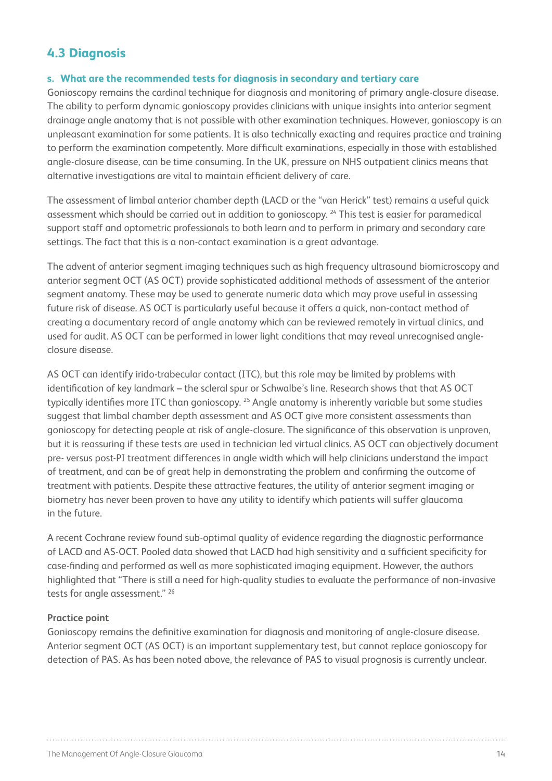## **4.3 Diagnosis**

#### **s. What are the recommended tests for diagnosis in secondary and tertiary care**

Gonioscopy remains the cardinal technique for diagnosis and monitoring of primary angle-closure disease. The ability to perform dynamic gonioscopy provides clinicians with unique insights into anterior segment drainage angle anatomy that is not possible with other examination techniques. However, gonioscopy is an unpleasant examination for some patients. It is also technically exacting and requires practice and training to perform the examination competently. More difficult examinations, especially in those with established angle-closure disease, can be time consuming. In the UK, pressure on NHS outpatient clinics means that alternative investigations are vital to maintain efficient delivery of care.

The assessment of limbal anterior chamber depth (LACD or the "van Herick" test) remains a useful quick assessment which should be carried out in addition to gonioscopy. 24 This test is easier for paramedical support staff and optometric professionals to both learn and to perform in primary and secondary care settings. The fact that this is a non-contact examination is a great advantage.

The advent of anterior segment imaging techniques such as high frequency ultrasound biomicroscopy and anterior segment OCT (AS OCT) provide sophisticated additional methods of assessment of the anterior segment anatomy. These may be used to generate numeric data which may prove useful in assessing future risk of disease. AS OCT is particularly useful because it offers a quick, non-contact method of creating a documentary record of angle anatomy which can be reviewed remotely in virtual clinics, and used for audit. AS OCT can be performed in lower light conditions that may reveal unrecognised angleclosure disease.

AS OCT can identify irido-trabecular contact (ITC), but this role may be limited by problems with identification of key landmark – the scleral spur or Schwalbe's line. Research shows that that AS OCT typically identifies more ITC than gonioscopy. <sup>25</sup> Angle anatomy is inherently variable but some studies suggest that limbal chamber depth assessment and AS OCT give more consistent assessments than gonioscopy for detecting people at risk of angle-closure. The significance of this observation is unproven, but it is reassuring if these tests are used in technician led virtual clinics. AS OCT can objectively document pre- versus post-PI treatment differences in angle width which will help clinicians understand the impact of treatment, and can be of great help in demonstrating the problem and confirming the outcome of treatment with patients. Despite these attractive features, the utility of anterior segment imaging or biometry has never been proven to have any utility to identify which patients will suffer glaucoma in the future.

A recent Cochrane review found sub-optimal quality of evidence regarding the diagnostic performance of LACD and AS-OCT. Pooled data showed that LACD had high sensitivity and a sufficient specificity for case-finding and performed as well as more sophisticated imaging equipment. However, the authors highlighted that "There is still a need for high-quality studies to evaluate the performance of non-invasive tests for angle assessment." 26

#### **Practice point**

Gonioscopy remains the definitive examination for diagnosis and monitoring of angle-closure disease. Anterior segment OCT (AS OCT) is an important supplementary test, but cannot replace gonioscopy for detection of PAS. As has been noted above, the relevance of PAS to visual prognosis is currently unclear.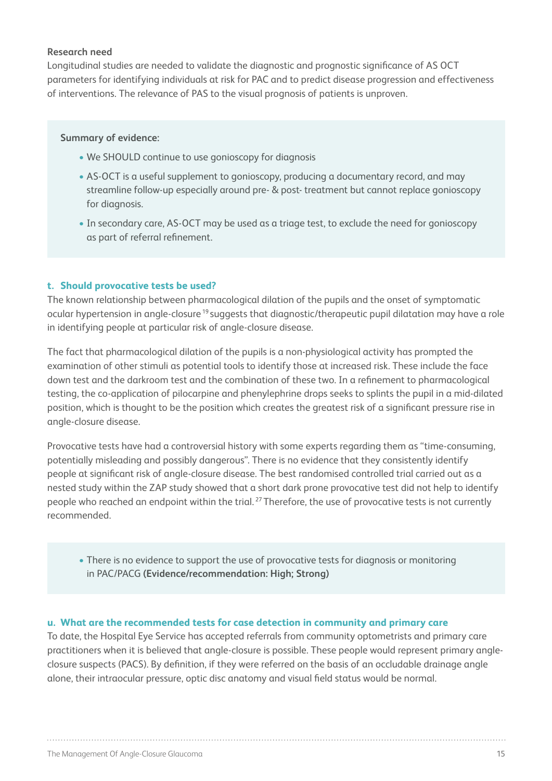#### **Research need**

Longitudinal studies are needed to validate the diagnostic and prognostic significance of AS OCT parameters for identifying individuals at risk for PAC and to predict disease progression and effectiveness of interventions. The relevance of PAS to the visual prognosis of patients is unproven.

#### **Summary of evidence:**

- We SHOULD continue to use gonioscopy for diagnosis
- AS-OCT is a useful supplement to gonioscopy, producing a documentary record, and may streamline follow-up especially around pre- & post- treatment but cannot replace gonioscopy for diagnosis.
- In secondary care, AS-OCT may be used as a triage test, to exclude the need for gonioscopy as part of referral refinement.

#### **t. Should provocative tests be used?**

The known relationship between pharmacological dilation of the pupils and the onset of symptomatic ocular hypertension in angle-closure 19 suggests that diagnostic/therapeutic pupil dilatation may have a role in identifying people at particular risk of angle-closure disease.

The fact that pharmacological dilation of the pupils is a non-physiological activity has prompted the examination of other stimuli as potential tools to identify those at increased risk. These include the face down test and the darkroom test and the combination of these two. In a refinement to pharmacological testing, the co-application of pilocarpine and phenylephrine drops seeks to splints the pupil in a mid-dilated position, which is thought to be the position which creates the greatest risk of a significant pressure rise in angle-closure disease.

Provocative tests have had a controversial history with some experts regarding them as "time-consuming, potentially misleading and possibly dangerous". There is no evidence that they consistently identify people at significant risk of angle-closure disease. The best randomised controlled trial carried out as a nested study within the ZAP study showed that a short dark prone provocative test did not help to identify people who reached an endpoint within the trial.<sup>27</sup> Therefore, the use of provocative tests is not currently recommended.

• There is no evidence to support the use of provocative tests for diagnosis or monitoring in PAC/PACG **(Evidence/recommendation: High; Strong)**

#### **u. What are the recommended tests for case detection in community and primary care**

To date, the Hospital Eye Service has accepted referrals from community optometrists and primary care practitioners when it is believed that angle-closure is possible. These people would represent primary angleclosure suspects (PACS). By definition, if they were referred on the basis of an occludable drainage angle alone, their intraocular pressure, optic disc anatomy and visual field status would be normal.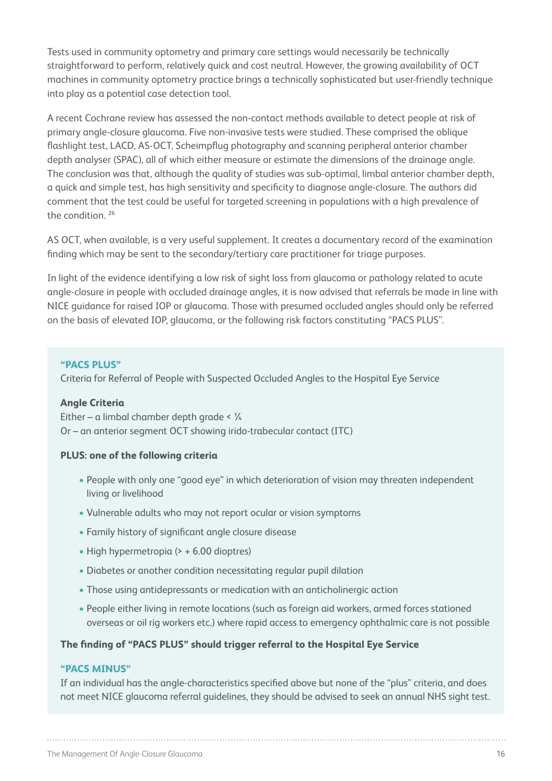Tests used in community optometry and primary care settings would necessarily be technically straightforward to perform, relatively quick and cost neutral. However, the growing availability of OCT machines in community optometry practice brings a technically sophisticated but user-friendly technique into play as a potential case detection tool.

A recent Cochrane review has assessed the non-contact methods available to detect people at risk of primary angle-closure glaucoma. Five non-invasive tests were studied. These comprised the oblique flashlight test, LACD, AS-OCT, Scheimpflug photography and scanning peripheral anterior chamber depth analyser (SPAC), all of which either measure or estimate the dimensions of the drainage angle. The conclusion was that, although the quality of studies was sub-optimal, limbal anterior chamber depth, a quick and simple test, has high sensitivity and specificity to diagnose angle-closure. The authors did comment that the test could be useful for targeted screening in populations with a high prevalence of the condition.<sup>26</sup>

AS OCT, when available, is a very useful supplement. It creates a documentary record of the examination finding which may be sent to the secondary/tertiary care practitioner for triage purposes.

In light of the evidence identifying a low risk of sight loss from glaucoma or pathology related to acute angle-closure in people with occluded drainage angles, it is now advised that referrals be made in line with NICE guidance for raised IOP or glaucoma. Those with presumed occluded angles should only be referred on the basis of elevated IOP, glaucoma, or the following risk factors constituting "PACS PLUS".

#### **"PACS PLUS"**

Criteria for Referral of People with Suspected Occluded Angles to the Hospital Eye Service

#### **Angle Criteria**

Either – a limbal chamber depth grade < ¼ Or – an anterior segment OCT showing irido-trabecular contact (ITC)

#### **PLUS: one of the following criteria**

- People with only one "good eye" in which deterioration of vision may threaten independent living or livelihood
- Vulnerable adults who may not report ocular or vision symptoms
- Family history of significant angle closure disease
- High hypermetropia (> + 6.00 dioptres)
- Diabetes or another condition necessitating regular pupil dilation
- Those using antidepressants or medication with an anticholinergic action
- People either living in remote locations (such as foreign aid workers, armed forces stationed overseas or oil rig workers etc.) where rapid access to emergency ophthalmic care is not possible

#### **The finding of "PACS PLUS" should trigger referral to the Hospital Eye Service**

#### **"PACS MINUS"**

If an individual has the angle-characteristics specified above but none of the "plus" criteria, and does not meet NICE glaucoma referral guidelines, they should be advised to seek an annual NHS sight test.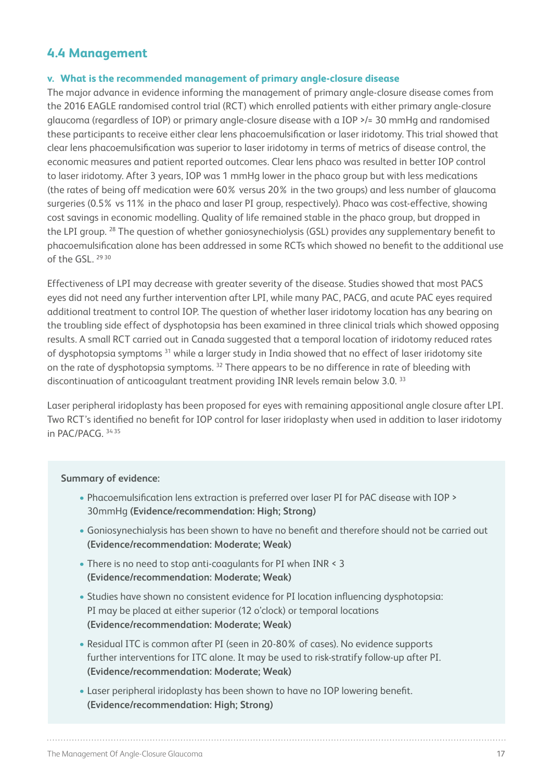### **4.4 Management**

#### **v. What is the recommended management of primary angle-closure disease**

The major advance in evidence informing the management of primary angle-closure disease comes from the 2016 EAGLE randomised control trial (RCT) which enrolled patients with either primary angle-closure glaucoma (regardless of IOP) or primary angle-closure disease with a IOP >/= 30 mmHg and randomised these participants to receive either clear lens phacoemulsification or laser iridotomy. This trial showed that clear lens phacoemulsification was superior to laser iridotomy in terms of metrics of disease control, the economic measures and patient reported outcomes. Clear lens phaco was resulted in better IOP control to laser iridotomy. After 3 years, IOP was 1 mmHg lower in the phaco group but with less medications (the rates of being off medication were 60% versus 20% in the two groups) and less number of glaucoma surgeries (0.5% vs 11% in the phaco and laser PI group, respectively). Phaco was cost-effective, showing cost savings in economic modelling. Quality of life remained stable in the phaco group, but dropped in the LPI group. 28 The question of whether goniosynechiolysis (GSL) provides any supplementary benefit to phacoemulsification alone has been addressed in some RCTs which showed no benefit to the additional use of the GSL. 2930

Effectiveness of LPI may decrease with greater severity of the disease. Studies showed that most PACS eyes did not need any further intervention after LPI, while many PAC, PACG, and acute PAC eyes required additional treatment to control IOP. The question of whether laser iridotomy location has any bearing on the troubling side effect of dysphotopsia has been examined in three clinical trials which showed opposing results. A small RCT carried out in Canada suggested that a temporal location of iridotomy reduced rates of dysphotopsia symptoms 31 while a larger study in India showed that no effect of laser iridotomy site on the rate of dysphotopsia symptoms. 32 There appears to be no difference in rate of bleeding with discontinuation of anticoagulant treatment providing INR levels remain below 3.0. 33

Laser peripheral iridoplasty has been proposed for eyes with remaining appositional angle closure after LPI. Two RCT's identified no benefit for IOP control for laser iridoplasty when used in addition to laser iridotomy in PAC/PACG. 34 35

#### **Summary of evidence:**

- Phacoemulsification lens extraction is preferred over laser PI for PAC disease with IOP > 30mmHg **(Evidence/recommendation: High; Strong)**
- Goniosynechialysis has been shown to have no benefit and therefore should not be carried out **(Evidence/recommendation: Moderate; Weak)**
- There is no need to stop anti-coagulants for PI when INR < 3 **(Evidence/recommendation: Moderate; Weak)**
- Studies have shown no consistent evidence for PI location influencing dysphotopsia: PI may be placed at either superior (12 o'clock) or temporal locations **(Evidence/recommendation: Moderate; Weak)**
- Residual ITC is common after PI (seen in 20-80% of cases). No evidence supports further interventions for ITC alone. It may be used to risk-stratify follow-up after PI. **(Evidence/recommendation: Moderate; Weak)**
- Laser peripheral iridoplasty has been shown to have no IOP lowering benefit. **(Evidence/recommendation: High; Strong)**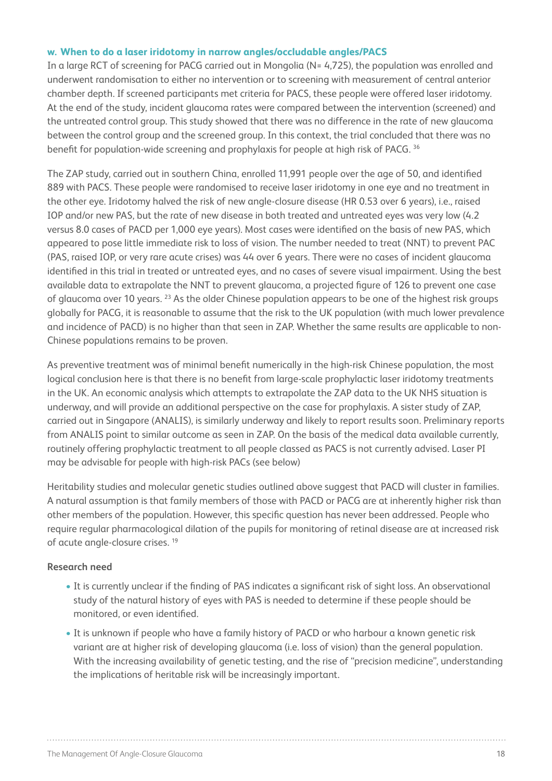#### **w. When to do a laser iridotomy in narrow angles/occludable angles/PACS**

In a large RCT of screening for PACG carried out in Mongolia (N= 4,725), the population was enrolled and underwent randomisation to either no intervention or to screening with measurement of central anterior chamber depth. If screened participants met criteria for PACS, these people were offered laser iridotomy. At the end of the study, incident glaucoma rates were compared between the intervention (screened) and the untreated control group. This study showed that there was no difference in the rate of new glaucoma between the control group and the screened group. In this context, the trial concluded that there was no benefit for population-wide screening and prophylaxis for people at high risk of PACG. 36

The ZAP study, carried out in southern China, enrolled 11,991 people over the age of 50, and identified 889 with PACS. These people were randomised to receive laser iridotomy in one eye and no treatment in the other eye. Iridotomy halved the risk of new angle-closure disease (HR 0.53 over 6 years), i.e., raised IOP and/or new PAS, but the rate of new disease in both treated and untreated eyes was very low (4.2 versus 8.0 cases of PACD per 1,000 eye years). Most cases were identified on the basis of new PAS, which appeared to pose little immediate risk to loss of vision. The number needed to treat (NNT) to prevent PAC (PAS, raised IOP, or very rare acute crises) was 44 over 6 years. There were no cases of incident glaucoma identified in this trial in treated or untreated eyes, and no cases of severe visual impairment. Using the best available data to extrapolate the NNT to prevent glaucoma, a projected figure of 126 to prevent one case of glaucoma over 10 years. <sup>23</sup> As the older Chinese population appears to be one of the highest risk groups globally for PACG, it is reasonable to assume that the risk to the UK population (with much lower prevalence and incidence of PACD) is no higher than that seen in ZAP. Whether the same results are applicable to non-Chinese populations remains to be proven.

As preventive treatment was of minimal benefit numerically in the high-risk Chinese population, the most logical conclusion here is that there is no benefit from large-scale prophylactic laser iridotomy treatments in the UK. An economic analysis which attempts to extrapolate the ZAP data to the UK NHS situation is underway, and will provide an additional perspective on the case for prophylaxis. A sister study of ZAP, carried out in Singapore (ANALIS), is similarly underway and likely to report results soon. Preliminary reports from ANALIS point to similar outcome as seen in ZAP. On the basis of the medical data available currently, routinely offering prophylactic treatment to all people classed as PACS is not currently advised. Laser PI may be advisable for people with high-risk PACs (see below)

Heritability studies and molecular genetic studies outlined above suggest that PACD will cluster in families. A natural assumption is that family members of those with PACD or PACG are at inherently higher risk than other members of the population. However, this specific question has never been addressed. People who require regular pharmacological dilation of the pupils for monitoring of retinal disease are at increased risk of acute angle-closure crises. 19

#### **Research need**

- It is currently unclear if the finding of PAS indicates a significant risk of sight loss. An observational study of the natural history of eyes with PAS is needed to determine if these people should be monitored, or even identified.
- It is unknown if people who have a family history of PACD or who harbour a known genetic risk variant are at higher risk of developing glaucoma (i.e. loss of vision) than the general population. With the increasing availability of genetic testing, and the rise of "precision medicine", understanding the implications of heritable risk will be increasingly important.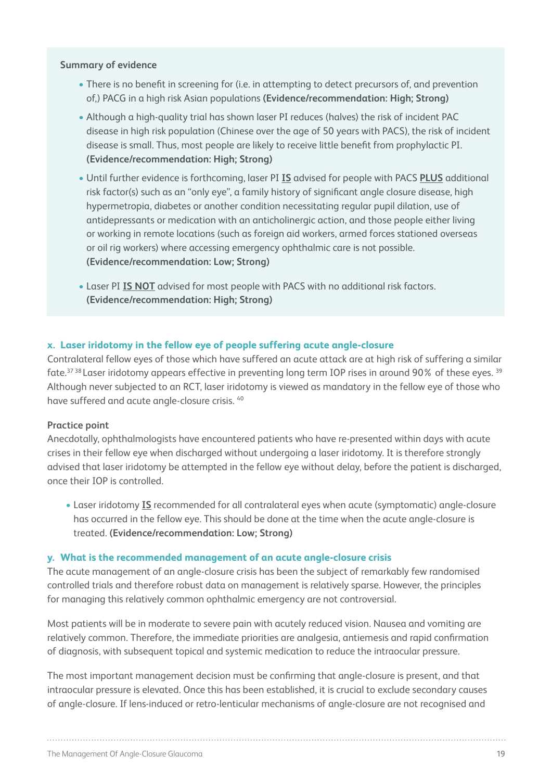#### **Summary of evidence**

- There is no benefit in screening for (i.e. in attempting to detect precursors of, and prevention of,) PACG in a high risk Asian populations **(Evidence/recommendation: High; Strong)**
- Although a high-quality trial has shown laser PI reduces (halves) the risk of incident PAC disease in high risk population (Chinese over the age of 50 years with PACS), the risk of incident disease is small. Thus, most people are likely to receive little benefit from prophylactic PI. **(Evidence/recommendation: High; Strong)**
- Until further evidence is forthcoming, laser PI **IS** advised for people with PACS **PLUS** additional risk factor(s) such as an "only eye", a family history of significant angle closure disease, high hypermetropia, diabetes or another condition necessitating regular pupil dilation, use of antidepressants or medication with an anticholinergic action, and those people either living or working in remote locations (such as foreign aid workers, armed forces stationed overseas or oil rig workers) where accessing emergency ophthalmic care is not possible. **(Evidence/recommendation: Low; Strong)**
- Laser PI **IS NOT** advised for most people with PACS with no additional risk factors. **(Evidence/recommendation: High; Strong)**

#### **x. Laser iridotomy in the fellow eye of people suffering acute angle-closure**

Contralateral fellow eyes of those which have suffered an acute attack are at high risk of suffering a similar fate.<sup>37 38</sup> Laser iridotomy appears effective in preventing long term IOP rises in around 90% of these eyes.<sup>39</sup> Although never subjected to an RCT, laser iridotomy is viewed as mandatory in the fellow eye of those who have suffered and acute angle-closure crisis. 40

#### **Practice point**

Anecdotally, ophthalmologists have encountered patients who have re-presented within days with acute crises in their fellow eye when discharged without undergoing a laser iridotomy. It is therefore strongly advised that laser iridotomy be attempted in the fellow eye without delay, before the patient is discharged, once their IOP is controlled.

• Laser iridotomy **IS** recommended for all contralateral eyes when acute (symptomatic) angle-closure has occurred in the fellow eye. This should be done at the time when the acute angle-closure is treated. **(Evidence/recommendation: Low; Strong)**

#### **y. What is the recommended management of an acute angle-closure crisis**

The acute management of an angle-closure crisis has been the subject of remarkably few randomised controlled trials and therefore robust data on management is relatively sparse. However, the principles for managing this relatively common ophthalmic emergency are not controversial.

Most patients will be in moderate to severe pain with acutely reduced vision. Nausea and vomiting are relatively common. Therefore, the immediate priorities are analgesia, antiemesis and rapid confirmation of diagnosis, with subsequent topical and systemic medication to reduce the intraocular pressure.

The most important management decision must be confirming that angle-closure is present, and that intraocular pressure is elevated. Once this has been established, it is crucial to exclude secondary causes of angle-closure. If lens-induced or retro-lenticular mechanisms of angle-closure are not recognised and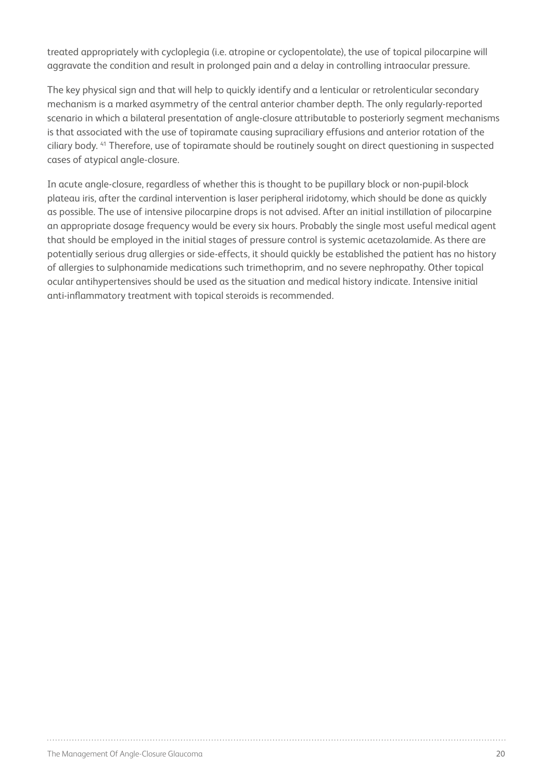treated appropriately with cycloplegia (i.e. atropine or cyclopentolate), the use of topical pilocarpine will aggravate the condition and result in prolonged pain and a delay in controlling intraocular pressure.

The key physical sign and that will help to quickly identify and a lenticular or retrolenticular secondary mechanism is a marked asymmetry of the central anterior chamber depth. The only regularly-reported scenario in which a bilateral presentation of angle-closure attributable to posteriorly segment mechanisms is that associated with the use of topiramate causing supraciliary effusions and anterior rotation of the ciliary body. 41 Therefore, use of topiramate should be routinely sought on direct questioning in suspected cases of atypical angle-closure.

In acute angle-closure, regardless of whether this is thought to be pupillary block or non-pupil-block plateau iris, after the cardinal intervention is laser peripheral iridotomy, which should be done as quickly as possible. The use of intensive pilocarpine drops is not advised. After an initial instillation of pilocarpine an appropriate dosage frequency would be every six hours. Probably the single most useful medical agent that should be employed in the initial stages of pressure control is systemic acetazolamide. As there are potentially serious drug allergies or side-effects, it should quickly be established the patient has no history of allergies to sulphonamide medications such trimethoprim, and no severe nephropathy. Other topical ocular antihypertensives should be used as the situation and medical history indicate. Intensive initial anti-inflammatory treatment with topical steroids is recommended.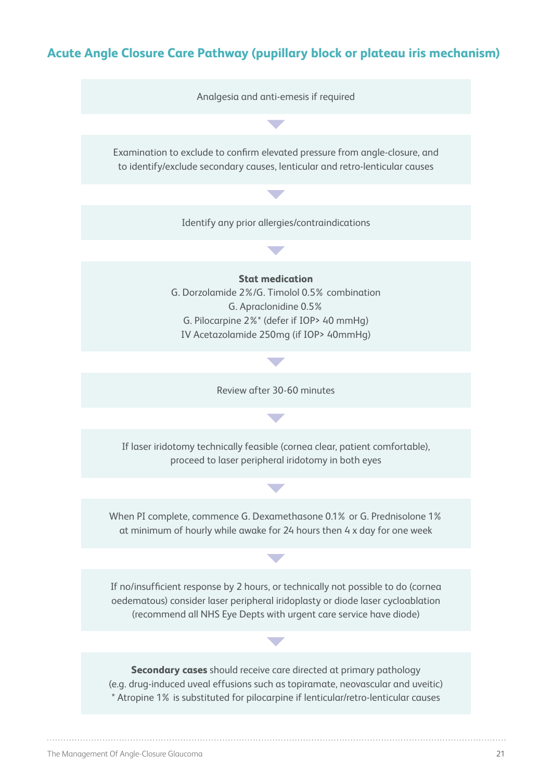## **Acute Angle Closure Care Pathway (pupillary block or plateau iris mechanism)**

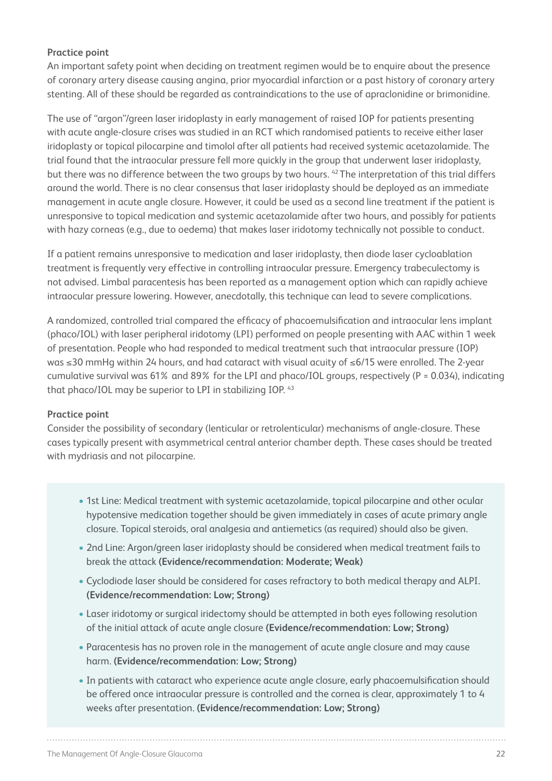#### **Practice point**

An important safety point when deciding on treatment regimen would be to enquire about the presence of coronary artery disease causing angina, prior myocardial infarction or a past history of coronary artery stenting. All of these should be regarded as contraindications to the use of apraclonidine or brimonidine.

The use of "argon"/green laser iridoplasty in early management of raised IOP for patients presenting with acute angle-closure crises was studied in an RCT which randomised patients to receive either laser iridoplasty or topical pilocarpine and timolol after all patients had received systemic acetazolamide. The trial found that the intraocular pressure fell more quickly in the group that underwent laser iridoplasty, but there was no difference between the two groups by two hours. 42 The interpretation of this trial differs around the world. There is no clear consensus that laser iridoplasty should be deployed as an immediate management in acute angle closure. However, it could be used as a second line treatment if the patient is unresponsive to topical medication and systemic acetazolamide after two hours, and possibly for patients with hazy corneas (e.g., due to oedema) that makes laser iridotomy technically not possible to conduct.

If a patient remains unresponsive to medication and laser iridoplasty, then diode laser cycloablation treatment is frequently very effective in controlling intraocular pressure. Emergency trabeculectomy is not advised. Limbal paracentesis has been reported as a management option which can rapidly achieve intraocular pressure lowering. However, anecdotally, this technique can lead to severe complications.

A randomized, controlled trial compared the efficacy of phacoemulsification and intraocular lens implant (phaco/IOL) with laser peripheral iridotomy (LPI) performed on people presenting with AAC within 1 week of presentation. People who had responded to medical treatment such that intraocular pressure (IOP) was ≤30 mmHg within 24 hours, and had cataract with visual acuity of ≤6/15 were enrolled. The 2-year cumulative survival was 61% and 89% for the LPI and phaco/IOL groups, respectively (P = 0.034), indicating that phaco/IOL may be superior to LPI in stabilizing IOP. 43

#### **Practice point**

Consider the possibility of secondary (lenticular or retrolenticular) mechanisms of angle-closure. These cases typically present with asymmetrical central anterior chamber depth. These cases should be treated with mydriasis and not pilocarpine.

- 1st Line: Medical treatment with systemic acetazolamide, topical pilocarpine and other ocular hypotensive medication together should be given immediately in cases of acute primary angle closure. Topical steroids, oral analgesia and antiemetics (as required) should also be given.
- 2nd Line: Argon/green laser iridoplasty should be considered when medical treatment fails to break the attack **(Evidence/recommendation: Moderate; Weak)**
- Cyclodiode laser should be considered for cases refractory to both medical therapy and ALPI. **(Evidence/recommendation: Low; Strong)**
- Laser iridotomy or surgical iridectomy should be attempted in both eyes following resolution of the initial attack of acute angle closure **(Evidence/recommendation: Low; Strong)**
- Paracentesis has no proven role in the management of acute angle closure and may cause harm. **(Evidence/recommendation: Low; Strong)**
- In patients with cataract who experience acute angle closure, early phacoemulsification should be offered once intraocular pressure is controlled and the cornea is clear, approximately 1 to 4 weeks after presentation. **(Evidence/recommendation: Low; Strong)**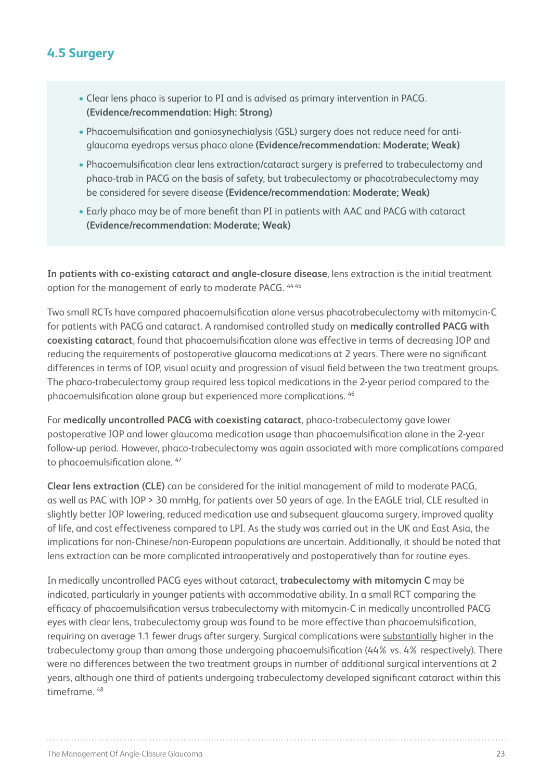## **4.5 Surgery**

- Clear lens phaco is superior to PI and is advised as primary intervention in PACG. **(Evidence/recommendation: High: Strong)**
- Phacoemulsification and goniosynechialysis (GSL) surgery does not reduce need for antiglaucoma eyedrops versus phaco alone **(Evidence/recommendation: Moderate; Weak)**
- Phacoemulsification clear lens extraction/cataract surgery is preferred to trabeculectomy and phaco-trab in PACG on the basis of safety, but trabeculectomy or phacotrabeculectomy may be considered for severe disease **(Evidence/recommendation: Moderate; Weak)**
- Early phaco may be of more benefit than PI in patients with AAC and PACG with cataract **(Evidence/recommendation: Moderate; Weak)**

**In patients with co-existing cataract and angle-closure disease**, lens extraction is the initial treatment option for the management of early to moderate PACG. 44 45

Two small RCTs have compared phacoemulsification alone versus phacotrabeculectomy with mitomycin-C for patients with PACG and cataract. A randomised controlled study on **medically controlled PACG with coexisting cataract**, found that phacoemulsification alone was effective in terms of decreasing IOP and reducing the requirements of postoperative glaucoma medications at 2 years. There were no significant differences in terms of IOP, visual acuity and progression of visual field between the two treatment groups. The phaco-trabeculectomy group required less topical medications in the 2-year period compared to the phacoemulsification alone group but experienced more complications. 46

For **medically uncontrolled PACG with coexisting cataract**, phaco-trabeculectomy gave lower postoperative IOP and lower glaucoma medication usage than phacoemulsification alone in the 2-year follow-up period. However, phaco-trabeculectomy was again associated with more complications compared to phacoemulsification alone. 47

**Clear lens extraction (CLE)** can be considered for the initial management of mild to moderate PACG, as well as PAC with IOP > 30 mmHg, for patients over 50 years of age. In the EAGLE trial, CLE resulted in slightly better IOP lowering, reduced medication use and subsequent glaucoma surgery, improved quality of life, and cost effectiveness compared to LPI. As the study was carried out in the UK and East Asia, the implications for non-Chinese/non-European populations are uncertain. Additionally, it should be noted that lens extraction can be more complicated intraoperatively and postoperatively than for routine eyes.

In medically uncontrolled PACG eyes without cataract, **trabeculectomy with mitomycin C** may be indicated, particularly in younger patients with accommodative ability. In a small RCT comparing the efficacy of phacoemulsification versus trabeculectomy with mitomycin-C in medically uncontrolled PACG eyes with clear lens, trabeculectomy group was found to be more effective than phacoemulsification, requiring on average 1.1 fewer drugs after surgery. Surgical complications were substantially higher in the trabeculectomy group than among those undergoing phacoemulsification (44% vs. 4% respectively). There were no differences between the two treatment groups in number of additional surgical interventions at 2 years, although one third of patients undergoing trabeculectomy developed significant cataract within this timeframe. 48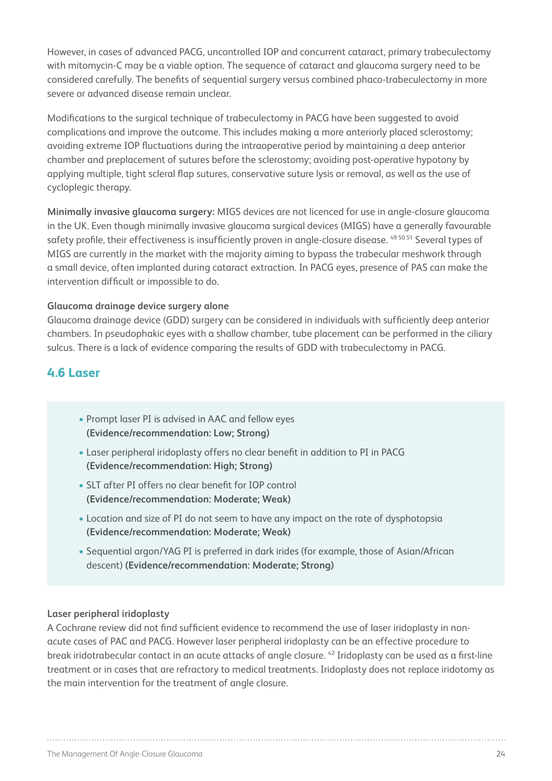However, in cases of advanced PACG, uncontrolled IOP and concurrent cataract, primary trabeculectomy with mitomycin-C may be a viable option. The sequence of cataract and glaucoma surgery need to be considered carefully. The benefits of sequential surgery versus combined phaco-trabeculectomy in more severe or advanced disease remain unclear.

Modifications to the surgical technique of trabeculectomy in PACG have been suggested to avoid complications and improve the outcome. This includes making a more anteriorly placed sclerostomy; avoiding extreme IOP fluctuations during the intraoperative period by maintaining a deep anterior chamber and preplacement of sutures before the sclerostomy; avoiding post-operative hypotony by applying multiple, tight scleral flap sutures, conservative suture lysis or removal, as well as the use of cycloplegic therapy.

**Minimally invasive glaucoma surgery:** MIGS devices are not licenced for use in angle-closure glaucoma in the UK. Even though minimally invasive glaucoma surgical devices (MIGS) have a generally favourable safety profile, their effectiveness is insufficiently proven in angle-closure disease. <sup>49 50 51</sup> Several types of MIGS are currently in the market with the majority aiming to bypass the trabecular meshwork through a small device, often implanted during cataract extraction. In PACG eyes, presence of PAS can make the intervention difficult or impossible to do.

#### **Glaucoma drainage device surgery alone**

Glaucoma drainage device (GDD) surgery can be considered in individuals with sufficiently deep anterior chambers. In pseudophakic eyes with a shallow chamber, tube placement can be performed in the ciliary sulcus. There is a lack of evidence comparing the results of GDD with trabeculectomy in PACG.

## **4.6 Laser**

- Prompt laser PI is advised in AAC and fellow eyes **(Evidence/recommendation: Low; Strong)**
- Laser peripheral iridoplasty offers no clear benefit in addition to PI in PACG **(Evidence/recommendation: High; Strong)**
- SLT after PI offers no clear benefit for IOP control **(Evidence/recommendation: Moderate; Weak)**
- Location and size of PI do not seem to have any impact on the rate of dysphotopsia **(Evidence/recommendation: Moderate; Weak)**
- Sequential argon/YAG PI is preferred in dark irides (for example, those of Asian/African descent) **(Evidence/recommendation: Moderate; Strong)**

#### **Laser peripheral iridoplasty**

A Cochrane review did not find sufficient evidence to recommend the use of laser iridoplasty in nonacute cases of PAC and PACG. However laser peripheral iridoplasty can be an effective procedure to break iridotrabecular contact in an acute attacks of angle closure. 42 Iridoplasty can be used as a first-line treatment or in cases that are refractory to medical treatments. Iridoplasty does not replace iridotomy as the main intervention for the treatment of angle closure.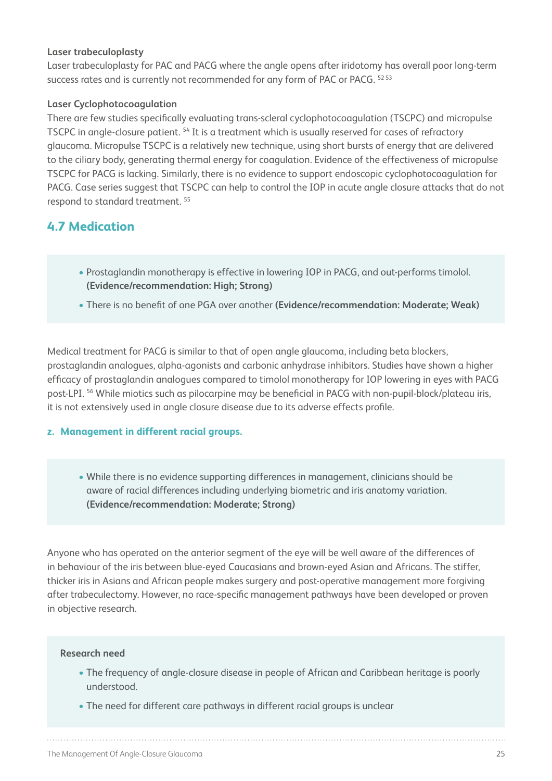#### **Laser trabeculoplasty**

Laser trabeculoplasty for PAC and PACG where the angle opens after iridotomy has overall poor long-term success rates and is currently not recommended for any form of PAC or PACG. 5253

#### **Laser Cyclophotocoagulation**

There are few studies specifically evaluating trans-scleral cyclophotocoagulation (TSCPC) and micropulse TSCPC in angle-closure patient. <sup>54</sup> It is a treatment which is usually reserved for cases of refractory glaucoma. Micropulse TSCPC is a relatively new technique, using short bursts of energy that are delivered to the ciliary body, generating thermal energy for coagulation. Evidence of the effectiveness of micropulse TSCPC for PACG is lacking. Similarly, there is no evidence to support endoscopic cyclophotocoagulation for PACG. Case series suggest that TSCPC can help to control the IOP in acute angle closure attacks that do not respond to standard treatment. 55

## **4.7 Medication**

- Prostaglandin monotherapy is effective in lowering IOP in PACG, and out-performs timolol. **(Evidence/recommendation: High; Strong)**
- There is no benefit of one PGA over another **(Evidence/recommendation: Moderate; Weak)**

Medical treatment for PACG is similar to that of open angle glaucoma, including beta blockers, prostaglandin analogues, alpha-agonists and carbonic anhydrase inhibitors. Studies have shown a higher efficacy of prostaglandin analogues compared to timolol monotherapy for IOP lowering in eyes with PACG post-LPI. 56 While miotics such as pilocarpine may be beneficial in PACG with non-pupil-block/plateau iris, it is not extensively used in angle closure disease due to its adverse effects profile.

#### **z. Management in different racial groups.**

• While there is no evidence supporting differences in management, clinicians should be aware of racial differences including underlying biometric and iris anatomy variation. **(Evidence/recommendation: Moderate; Strong)**

Anyone who has operated on the anterior segment of the eye will be well aware of the differences of in behaviour of the iris between blue-eyed Caucasians and brown-eyed Asian and Africans. The stiffer, thicker iris in Asians and African people makes surgery and post-operative management more forgiving after trabeculectomy. However, no race-specific management pathways have been developed or proven in objective research.

#### **Research need**

- The frequency of angle-closure disease in people of African and Caribbean heritage is poorly understood.
- The need for different care pathways in different racial groups is unclear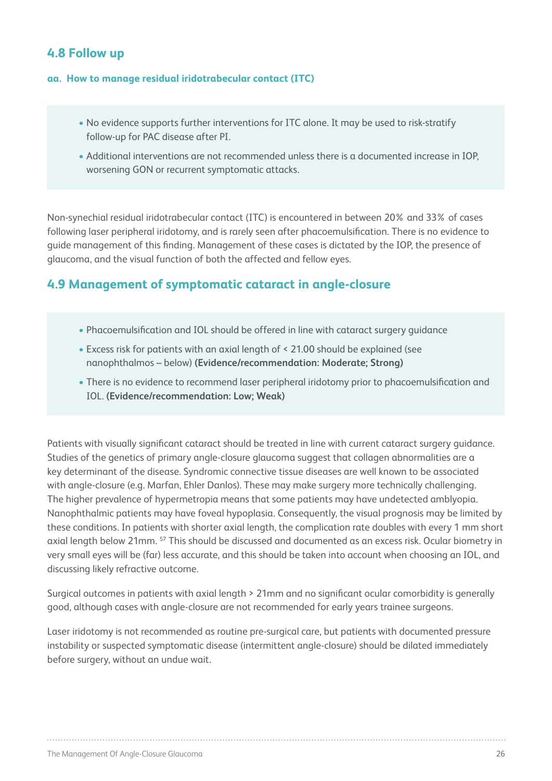## **4.8 Follow up**

#### **aa. How to manage residual iridotrabecular contact (ITC)**

- No evidence supports further interventions for ITC alone. It may be used to risk-stratify follow-up for PAC disease after PI.
- Additional interventions are not recommended unless there is a documented increase in IOP, worsening GON or recurrent symptomatic attacks.

Non-synechial residual iridotrabecular contact (ITC) is encountered in between 20% and 33% of cases following laser peripheral iridotomy, and is rarely seen after phacoemulsification. There is no evidence to guide management of this finding. Management of these cases is dictated by the IOP, the presence of glaucoma, and the visual function of both the affected and fellow eyes.

### **4.9 Management of symptomatic cataract in angle-closure**

- Phacoemulsification and IOL should be offered in line with cataract surgery guidance
- Excess risk for patients with an axial length of < 21.00 should be explained (see nanophthalmos – below) **(Evidence/recommendation: Moderate; Strong)**
- There is no evidence to recommend laser peripheral iridotomy prior to phacoemulsification and IOL. **(Evidence/recommendation: Low; Weak)**

Patients with visually significant cataract should be treated in line with current cataract surgery guidance. Studies of the genetics of primary angle-closure glaucoma suggest that collagen abnormalities are a key determinant of the disease. Syndromic connective tissue diseases are well known to be associated with angle-closure (e.g. Marfan, Ehler Danlos). These may make surgery more technically challenging. The higher prevalence of hypermetropia means that some patients may have undetected amblyopia. Nanophthalmic patients may have foveal hypoplasia. Consequently, the visual prognosis may be limited by these conditions. In patients with shorter axial length, the complication rate doubles with every 1 mm short axial length below 21mm. 57 This should be discussed and documented as an excess risk. Ocular biometry in very small eyes will be (far) less accurate, and this should be taken into account when choosing an IOL, and discussing likely refractive outcome.

Surgical outcomes in patients with axial length > 21mm and no significant ocular comorbidity is generally good, although cases with angle-closure are not recommended for early years trainee surgeons.

Laser iridotomy is not recommended as routine pre-surgical care, but patients with documented pressure instability or suspected symptomatic disease (intermittent angle-closure) should be dilated immediately before surgery, without an undue wait.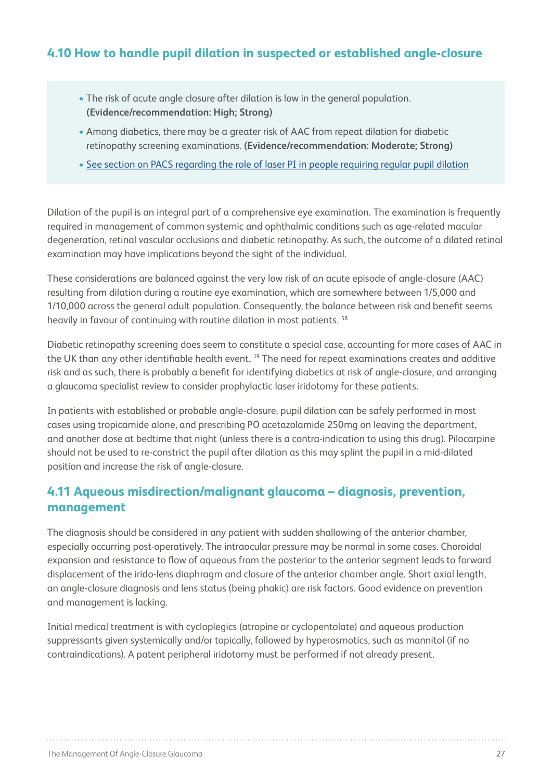## **4.10 How to handle pupil dilation in suspected or established angle-closure**

- The risk of acute angle closure after dilation is low in the general population. **(Evidence/recommendation: High; Strong)**
- Among diabetics, there may be a greater risk of AAC from repeat dilation for diabetic retinopathy screening examinations. **(Evidence/recommendation: Moderate; Strong)**
- See section on PACS regarding the role of laser PI in people requiring regular pupil dilation

Dilation of the pupil is an integral part of a comprehensive eye examination. The examination is frequently required in management of common systemic and ophthalmic conditions such as age-related macular degeneration, retinal vascular occlusions and diabetic retinopathy. As such, the outcome of a dilated retinal examination may have implications beyond the sight of the individual.

These considerations are balanced against the very low risk of an acute episode of angle-closure (AAC) resulting from dilation during a routine eye examination, which are somewhere between 1/5,000 and 1/10,000 across the general adult population. Consequently, the balance between risk and benefit seems heavily in favour of continuing with routine dilation in most patients. 58

Diabetic retinopathy screening does seem to constitute a special case, accounting for more cases of AAC in the UK than any other identifiable health event.<sup>19</sup> The need for repeat examinations creates and additive risk and as such, there is probably a benefit for identifying diabetics at risk of angle-closure, and arranging a glaucoma specialist review to consider prophylactic laser iridotomy for these patients.

In patients with established or probable angle-closure, pupil dilation can be safely performed in most cases using tropicamide alone, and prescribing PO acetazolamide 250mg on leaving the department, and another dose at bedtime that night (unless there is a contra-indication to using this drug). Pilocarpine should not be used to re-constrict the pupil after dilation as this may splint the pupil in a mid-dilated position and increase the risk of angle-closure.

## **4.11 Aqueous misdirection/malignant glaucoma – diagnosis, prevention, management**

The diagnosis should be considered in any patient with sudden shallowing of the anterior chamber, especially occurring post-operatively. The intraocular pressure may be normal in some cases. Choroidal expansion and resistance to flow of aqueous from the posterior to the anterior segment leads to forward displacement of the irido-lens diaphragm and closure of the anterior chamber angle. Short axial length, an angle-closure diagnosis and lens status (being phakic) are risk factors. Good evidence on prevention and management is lacking.

Initial medical treatment is with cycloplegics (atropine or cyclopentolate) and aqueous production suppressants given systemically and/or topically, followed by hyperosmotics, such as mannitol (if no contraindications). A patent peripheral iridotomy must be performed if not already present.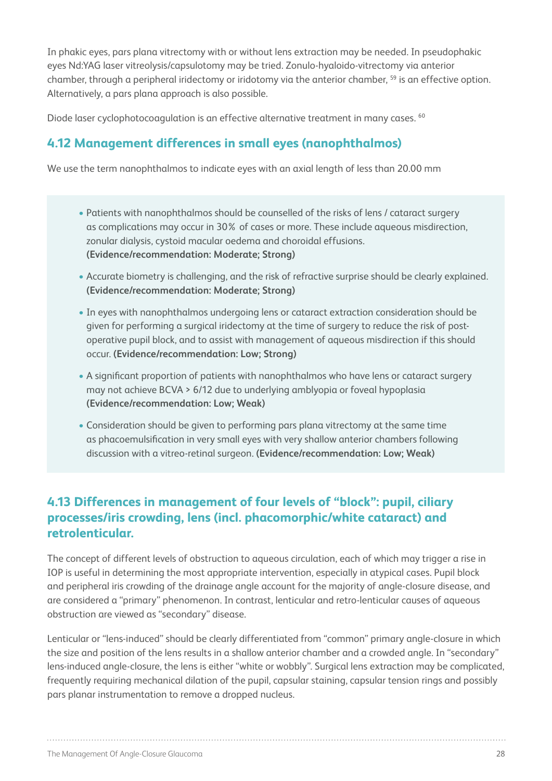In phakic eyes, pars plana vitrectomy with or without lens extraction may be needed. In pseudophakic eyes Nd:YAG laser vitreolysis/capsulotomy may be tried. Zonulo-hyaloido-vitrectomy via anterior chamber, through a peripheral iridectomy or iridotomy via the anterior chamber, <sup>59</sup> is an effective option. Alternatively, a pars plana approach is also possible.

Diode laser cyclophotocoagulation is an effective alternative treatment in many cases. <sup>60</sup>

## **4.12 Management differences in small eyes (nanophthalmos)**

We use the term nanophthalmos to indicate eyes with an axial length of less than 20.00 mm

- Patients with nanophthalmos should be counselled of the risks of lens / cataract surgery as complications may occur in 30% of cases or more. These include aqueous misdirection, zonular dialysis, cystoid macular oedema and choroidal effusions. **(Evidence/recommendation: Moderate; Strong)**
- Accurate biometry is challenging, and the risk of refractive surprise should be clearly explained. **(Evidence/recommendation: Moderate; Strong)**
- In eyes with nanophthalmos undergoing lens or cataract extraction consideration should be given for performing a surgical iridectomy at the time of surgery to reduce the risk of postoperative pupil block, and to assist with management of aqueous misdirection if this should occur. **(Evidence/recommendation: Low; Strong)**
- A significant proportion of patients with nanophthalmos who have lens or cataract surgery may not achieve BCVA > 6/12 due to underlying amblyopia or foveal hypoplasia **(Evidence/recommendation: Low; Weak)**
- Consideration should be given to performing pars plana vitrectomy at the same time as phacoemulsification in very small eyes with very shallow anterior chambers following discussion with a vitreo-retinal surgeon. **(Evidence/recommendation: Low; Weak)**

## **4.13 Differences in management of four levels of "block": pupil, ciliary processes/iris crowding, lens (incl. phacomorphic/white cataract) and retrolenticular.**

The concept of different levels of obstruction to aqueous circulation, each of which may trigger a rise in IOP is useful in determining the most appropriate intervention, especially in atypical cases. Pupil block and peripheral iris crowding of the drainage angle account for the majority of angle-closure disease, and are considered a "primary" phenomenon. In contrast, lenticular and retro-lenticular causes of aqueous obstruction are viewed as "secondary" disease.

Lenticular or "lens-induced" should be clearly differentiated from "common" primary angle-closure in which the size and position of the lens results in a shallow anterior chamber and a crowded angle. In "secondary" lens-induced angle-closure, the lens is either "white or wobbly". Surgical lens extraction may be complicated, frequently requiring mechanical dilation of the pupil, capsular staining, capsular tension rings and possibly pars planar instrumentation to remove a dropped nucleus.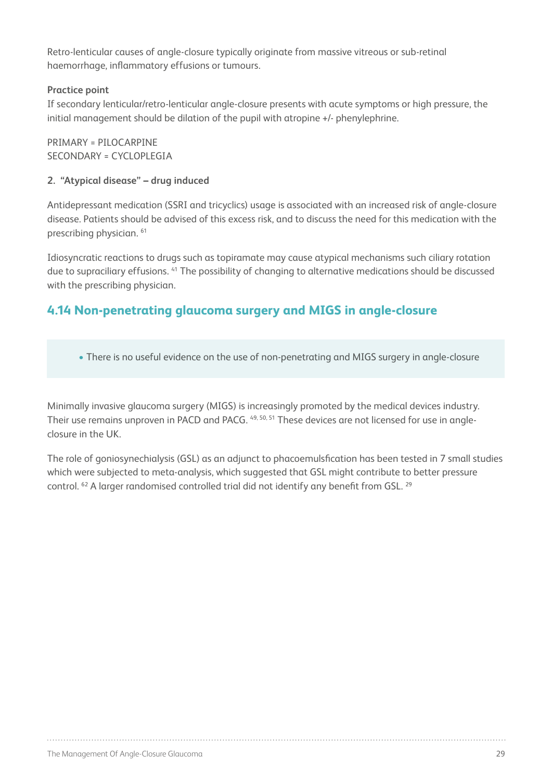Retro-lenticular causes of angle-closure typically originate from massive vitreous or sub-retinal haemorrhage, inflammatory effusions or tumours.

#### **Practice point**

If secondary lenticular/retro-lenticular angle-closure presents with acute symptoms or high pressure, the initial management should be dilation of the pupil with atropine +/- phenylephrine.

PRIMARY = PILOCARPINE SECONDARY = CYCLOPLEGIA

#### **2. "Atypical disease" – drug induced**

Antidepressant medication (SSRI and tricyclics) usage is associated with an increased risk of angle-closure disease. Patients should be advised of this excess risk, and to discuss the need for this medication with the prescribing physician. 61

Idiosyncratic reactions to drugs such as topiramate may cause atypical mechanisms such ciliary rotation due to supraciliary effusions. 41 The possibility of changing to alternative medications should be discussed with the prescribing physician.

## **4.14 Non-penetrating glaucoma surgery and MIGS in angle-closure**

• There is no useful evidence on the use of non-penetrating and MIGS surgery in angle-closure

Minimally invasive glaucoma surgery (MIGS) is increasingly promoted by the medical devices industry. Their use remains unproven in PACD and PACG. 49, 50, 51 These devices are not licensed for use in angleclosure in the UK.

The role of goniosynechialysis (GSL) as an adjunct to phacoemulsfication has been tested in 7 small studies which were subjected to meta-analysis, which suggested that GSL might contribute to better pressure control. <sup>62</sup> A larger randomised controlled trial did not identify any benefit from GSL. <sup>29</sup>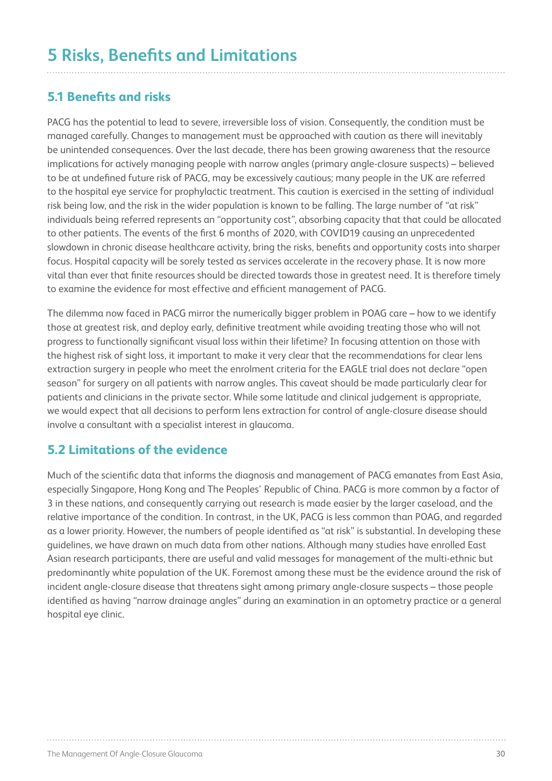## **5.1 Benefits and risks**

PACG has the potential to lead to severe, irreversible loss of vision. Consequently, the condition must be managed carefully. Changes to management must be approached with caution as there will inevitably be unintended consequences. Over the last decade, there has been growing awareness that the resource implications for actively managing people with narrow angles (primary angle-closure suspects) – believed to be at undefined future risk of PACG, may be excessively cautious; many people in the UK are referred to the hospital eye service for prophylactic treatment. This caution is exercised in the setting of individual risk being low, and the risk in the wider population is known to be falling. The large number of "at risk" individuals being referred represents an "opportunity cost", absorbing capacity that that could be allocated to other patients. The events of the first 6 months of 2020, with COVID19 causing an unprecedented slowdown in chronic disease healthcare activity, bring the risks, benefits and opportunity costs into sharper focus. Hospital capacity will be sorely tested as services accelerate in the recovery phase. It is now more vital than ever that finite resources should be directed towards those in greatest need. It is therefore timely to examine the evidence for most effective and efficient management of PACG.

The dilemma now faced in PACG mirror the numerically bigger problem in POAG care – how to we identify those at greatest risk, and deploy early, definitive treatment while avoiding treating those who will not progress to functionally significant visual loss within their lifetime? In focusing attention on those with the highest risk of sight loss, it important to make it very clear that the recommendations for clear lens extraction surgery in people who meet the enrolment criteria for the EAGLE trial does not declare "open season" for surgery on all patients with narrow angles. This caveat should be made particularly clear for patients and clinicians in the private sector. While some latitude and clinical judgement is appropriate, we would expect that all decisions to perform lens extraction for control of angle-closure disease should involve a consultant with a specialist interest in glaucoma.

## **5.2 Limitations of the evidence**

Much of the scientific data that informs the diagnosis and management of PACG emanates from East Asia, especially Singapore, Hong Kong and The Peoples' Republic of China. PACG is more common by a factor of 3 in these nations, and consequently carrying out research is made easier by the larger caseload, and the relative importance of the condition. In contrast, in the UK, PACG is less common than POAG, and regarded as a lower priority. However, the numbers of people identified as "at risk" is substantial. In developing these guidelines, we have drawn on much data from other nations. Although many studies have enrolled East Asian research participants, there are useful and valid messages for management of the multi-ethnic but predominantly white population of the UK. Foremost among these must be the evidence around the risk of incident angle-closure disease that threatens sight among primary angle-closure suspects – those people identified as having "narrow drainage angles" during an examination in an optometry practice or a general hospital eye clinic.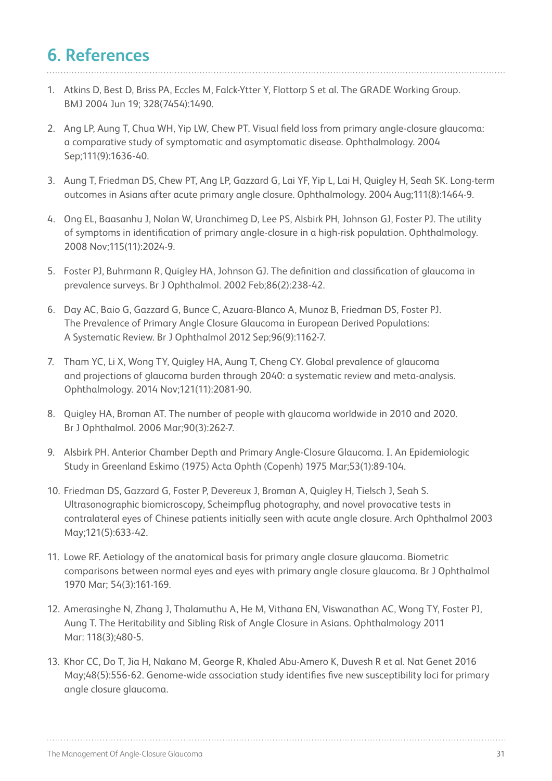## **6. References**

- 1. Atkins D, Best D, Briss PA, Eccles M, Falck-Ytter Y, Flottorp S et al. The GRADE Working Group. BMJ 2004 Jun 19; 328(7454):1490.
- 2. Ang LP, Aung T, Chua WH, Yip LW, Chew PT. Visual field loss from primary angle-closure glaucoma: a comparative study of symptomatic and asymptomatic disease. Ophthalmology. 2004 Sep;111(9):1636-40.
- 3. Aung T, Friedman DS, Chew PT, Ang LP, Gazzard G, Lai YF, Yip L, Lai H, Quigley H, Seah SK. Long-term outcomes in Asians after acute primary angle closure. Ophthalmology. 2004 Aug;111(8):1464-9.
- 4. Ong EL, Baasanhu J, Nolan W, Uranchimeg D, Lee PS, Alsbirk PH, Johnson GJ, Foster PJ. The utility of symptoms in identification of primary angle-closure in a high-risk population. Ophthalmology. 2008 Nov;115(11):2024-9.
- 5. Foster PJ, Buhrmann R, Quigley HA, Johnson GJ. The definition and classification of glaucoma in prevalence surveys. Br J Ophthalmol. 2002 Feb;86(2):238-42.
- 6. Day AC, Baio G, Gazzard G, Bunce C, Azuara-Blanco A, Munoz B, Friedman DS, Foster PJ. The Prevalence of Primary Angle Closure Glaucoma in European Derived Populations: A Systematic Review. Br J Ophthalmol 2012 Sep;96(9):1162-7.
- 7. Tham YC, Li X, Wong TY, Quigley HA, Aung T, Cheng CY. Global prevalence of glaucoma and projections of glaucoma burden through 2040: a systematic review and meta-analysis. Ophthalmology. 2014 Nov;121(11):2081-90.
- 8. Quigley HA, Broman AT. The number of people with glaucoma worldwide in 2010 and 2020. Br J Ophthalmol. 2006 Mar;90(3):262-7.
- 9. Alsbirk PH. Anterior Chamber Depth and Primary Angle-Closure Glaucoma. I. An Epidemiologic Study in Greenland Eskimo (1975) Acta Ophth (Copenh) 1975 Mar;53(1):89-104.
- 10. Friedman DS, Gazzard G, Foster P, Devereux J, Broman A, Quigley H, Tielsch J, Seah S. Ultrasonographic biomicroscopy, Scheimpflug photography, and novel provocative tests in contralateral eyes of Chinese patients initially seen with acute angle closure. Arch Ophthalmol 2003 May;121(5):633-42.
- 11. Lowe RF. Aetiology of the anatomical basis for primary angle closure glaucoma. Biometric comparisons between normal eyes and eyes with primary angle closure glaucoma. Br J Ophthalmol 1970 Mar; 54(3):161-169.
- 12. Amerasinghe N, Zhang J, Thalamuthu A, He M, Vithana EN, Viswanathan AC, Wong TY, Foster PJ, Aung T. The Heritability and Sibling Risk of Angle Closure in Asians. Ophthalmology 2011 Mar: 118(3);480-5.
- 13. Khor CC, Do T, Jia H, Nakano M, George R, Khaled Abu-Amero K, Duvesh R et al. Nat Genet 2016 May;48(5):556-62. Genome-wide association study identifies five new susceptibility loci for primary angle closure glaucoma.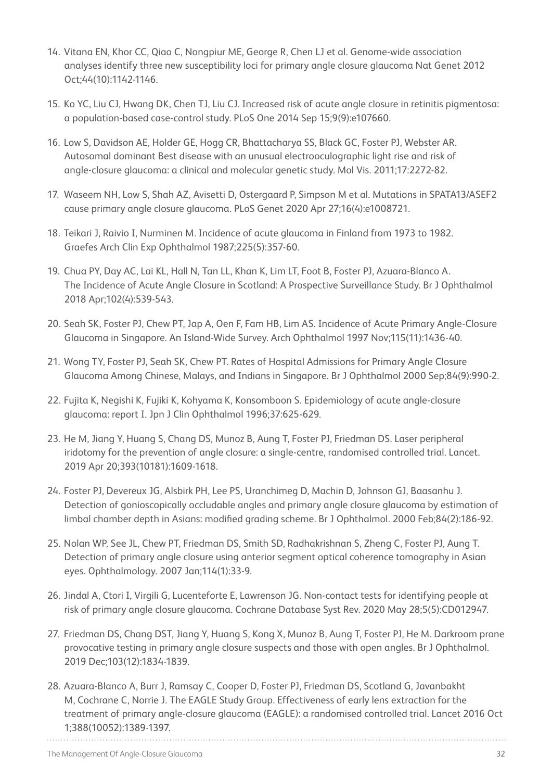- 14. Vitana EN, Khor CC, Qiao C, Nongpiur ME, George R, Chen LJ et al. Genome-wide association analyses identify three new susceptibility loci for primary angle closure glaucoma Nat Genet 2012 Oct;44(10):1142-1146.
- 15. Ko YC, Liu CJ, Hwang DK, Chen TJ, Liu CJ. Increased risk of acute angle closure in retinitis pigmentosa: a population-based case-control study. PLoS One 2014 Sep 15;9(9):e107660.
- 16. Low S, Davidson AE, Holder GE, Hogg CR, Bhattacharya SS, Black GC, Foster PJ, Webster AR. Autosomal dominant Best disease with an unusual electrooculographic light rise and risk of angle-closure glaucoma: a clinical and molecular genetic study. Mol Vis. 2011;17:2272-82.
- 17. Waseem NH, Low S, Shah AZ, Avisetti D, Ostergaard P, Simpson M et al. Mutations in SPATA13/ASEF2 cause primary angle closure glaucoma. PLoS Genet 2020 Apr 27;16(4):e1008721.
- 18. Teikari J, Raivio I, Nurminen M. Incidence of acute glaucoma in Finland from 1973 to 1982. Graefes Arch Clin Exp Ophthalmol 1987;225(5):357-60.
- 19. Chua PY, Day AC, Lai KL, Hall N, Tan LL, Khan K, Lim LT, Foot B, Foster PJ, Azuara-Blanco A. The Incidence of Acute Angle Closure in Scotland: A Prospective Surveillance Study. Br J Ophthalmol 2018 Apr;102(4):539-543.
- 20. Seah SK, Foster PJ, Chew PT, Jap A, Oen F, Fam HB, Lim AS. Incidence of Acute Primary Angle-Closure Glaucoma in Singapore. An Island-Wide Survey. Arch Ophthalmol 1997 Nov;115(11):1436-40.
- 21. Wong TY, Foster PJ, Seah SK, Chew PT. Rates of Hospital Admissions for Primary Angle Closure Glaucoma Among Chinese, Malays, and Indians in Singapore. Br J Ophthalmol 2000 Sep;84(9):990-2.
- 22. Fujita K, Negishi K, Fujiki K, Kohyama K, Konsomboon S. Epidemiology of acute angle-closure glaucoma: report I. Jpn J Clin Ophthalmol 1996;37:625-629.
- 23. He M, Jiang Y, Huang S, Chang DS, Munoz B, Aung T, Foster PJ, Friedman DS. Laser peripheral iridotomy for the prevention of angle closure: a single-centre, randomised controlled trial. Lancet. 2019 Apr 20;393(10181):1609-1618.
- 24. Foster PJ, Devereux JG, Alsbirk PH, Lee PS, Uranchimeg D, Machin D, Johnson GJ, Baasanhu J. Detection of gonioscopically occludable angles and primary angle closure glaucoma by estimation of limbal chamber depth in Asians: modified grading scheme. Br J Ophthalmol. 2000 Feb;84(2):186-92.
- 25. Nolan WP, See JL, Chew PT, Friedman DS, Smith SD, Radhakrishnan S, Zheng C, Foster PJ, Aung T. Detection of primary angle closure using anterior segment optical coherence tomography in Asian eyes. Ophthalmology. 2007 Jan;114(1):33-9.
- 26. Jindal A, Ctori I, Virgili G, Lucenteforte E, Lawrenson JG. Non-contact tests for identifying people at risk of primary angle closure glaucoma. Cochrane Database Syst Rev. 2020 May 28;5(5):CD012947.
- 27. Friedman DS, Chang DST, Jiang Y, Huang S, Kong X, Munoz B, Aung T, Foster PJ, He M. Darkroom prone provocative testing in primary angle closure suspects and those with open angles. Br J Ophthalmol. 2019 Dec;103(12):1834-1839.
- 28. Azuara-Blanco A, Burr J, Ramsay C, Cooper D, Foster PJ, Friedman DS, Scotland G, Javanbakht M, Cochrane C, Norrie J. The EAGLE Study Group. Effectiveness of early lens extraction for the treatment of primary angle-closure glaucoma (EAGLE): a randomised controlled trial. Lancet 2016 Oct 1;388(10052):1389-1397.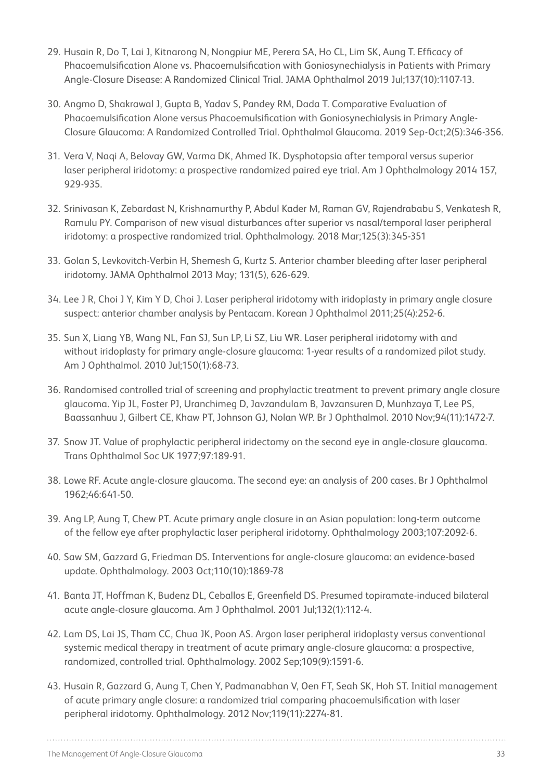- 29. Husain R, Do T, Lai J, Kitnarong N, Nongpiur ME, Perera SA, Ho CL, Lim SK, Aung T. Efficacy of Phacoemulsification Alone vs. Phacoemulsification with Goniosynechialysis in Patients with Primary Angle-Closure Disease: A Randomized Clinical Trial. JAMA Ophthalmol 2019 Jul;137(10):1107-13.
- 30. Angmo D, Shakrawal J, Gupta B, Yadav S, Pandey RM, Dada T. Comparative Evaluation of Phacoemulsification Alone versus Phacoemulsification with Goniosynechialysis in Primary Angle-Closure Glaucoma: A Randomized Controlled Trial. Ophthalmol Glaucoma. 2019 Sep-Oct;2(5):346-356.
- 31. Vera V, Naqi A, Belovay GW, Varma DK, Ahmed IK. Dysphotopsia after temporal versus superior laser peripheral iridotomy: a prospective randomized paired eye trial. Am J Ophthalmology 2014 157, 929-935.
- 32. Srinivasan K, Zebardast N, Krishnamurthy P, Abdul Kader M, Raman GV, Rajendrababu S, Venkatesh R, Ramulu PY. Comparison of new visual disturbances after superior vs nasal/temporal laser peripheral iridotomy: a prospective randomized trial. Ophthalmology. 2018 Mar;125(3):345-351
- 33. Golan S, Levkovitch-Verbin H, Shemesh G, Kurtz S. Anterior chamber bleeding after laser peripheral iridotomy. JAMA Ophthalmol 2013 May; 131(5), 626-629.
- 34. Lee J R, Choi J Y, Kim Y D, Choi J. Laser peripheral iridotomy with iridoplasty in primary angle closure suspect: anterior chamber analysis by Pentacam. Korean J Ophthalmol 2011;25(4):252-6.
- 35. Sun X, Liang YB, Wang NL, Fan SJ, Sun LP, Li SZ, Liu WR. Laser peripheral iridotomy with and without iridoplasty for primary angle-closure glaucoma: 1-year results of a randomized pilot study. Am J Ophthalmol. 2010 Jul;150(1):68-73.
- 36. Randomised controlled trial of screening and prophylactic treatment to prevent primary angle closure glaucoma. Yip JL, Foster PJ, Uranchimeg D, Javzandulam B, Javzansuren D, Munhzaya T, Lee PS, Baassanhuu J, Gilbert CE, Khaw PT, Johnson GJ, Nolan WP. Br J Ophthalmol. 2010 Nov;94(11):1472-7.
- 37. Snow JT. Value of prophylactic peripheral iridectomy on the second eye in angle-closure glaucoma. Trans Ophthalmol Soc UK 1977;97:189-91.
- 38. Lowe RF. Acute angle-closure glaucoma. The second eye: an analysis of 200 cases. Br J Ophthalmol 1962;46:641-50.
- 39. Ang LP, Aung T, Chew PT. Acute primary angle closure in an Asian population: long-term outcome of the fellow eye after prophylactic laser peripheral iridotomy. Ophthalmology 2003;107:2092-6.
- 40. Saw SM, Gazzard G, Friedman DS. Interventions for angle-closure glaucoma: an evidence-based update. Ophthalmology. 2003 Oct;110(10):1869-78
- 41. Banta JT, Hoffman K, Budenz DL, Ceballos E, Greenfield DS. Presumed topiramate-induced bilateral acute angle-closure glaucoma. Am J Ophthalmol. 2001 Jul;132(1):112-4.
- 42. Lam DS, Lai JS, Tham CC, Chua JK, Poon AS. Argon laser peripheral iridoplasty versus conventional systemic medical therapy in treatment of acute primary angle-closure glaucoma: a prospective, randomized, controlled trial. Ophthalmology. 2002 Sep;109(9):1591-6.
- 43. Husain R, Gazzard G, Aung T, Chen Y, Padmanabhan V, Oen FT, Seah SK, Hoh ST. Initial management of acute primary angle closure: a randomized trial comparing phacoemulsification with laser peripheral iridotomy. Ophthalmology. 2012 Nov;119(11):2274-81.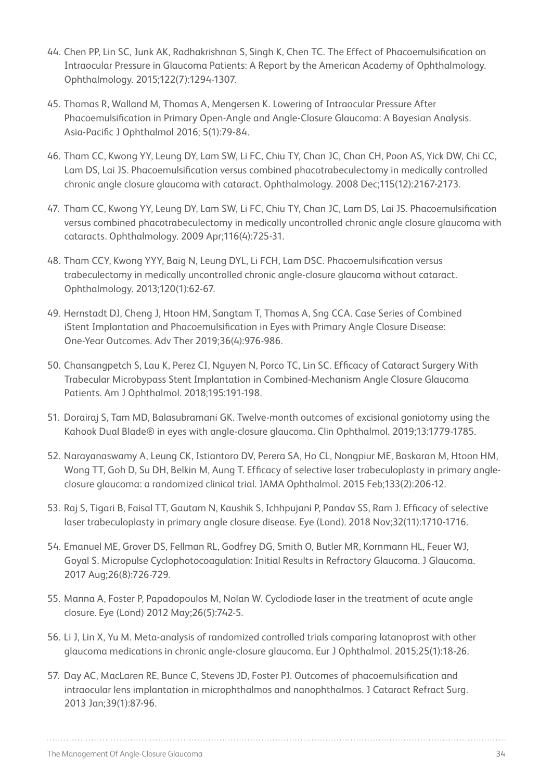- 44. Chen PP, Lin SC, Junk AK, Radhakrishnan S, Singh K, Chen TC. The Effect of Phacoemulsification on Intraocular Pressure in Glaucoma Patients: A Report by the American Academy of Ophthalmology. Ophthalmology. 2015;122(7):1294-1307.
- 45. Thomas R, Walland M, Thomas A, Mengersen K. Lowering of Intraocular Pressure After Phacoemulsification in Primary Open-Angle and Angle-Closure Glaucoma: A Bayesian Analysis. Asia-Pacific J Ophthalmol 2016; 5(1):79-84.
- 46. Tham CC, Kwong YY, Leung DY, Lam SW, Li FC, Chiu TY, Chan JC, Chan CH, Poon AS, Yick DW, Chi CC, Lam DS, Lai JS. Phacoemulsification versus combined phacotrabeculectomy in medically controlled chronic angle closure glaucoma with cataract. Ophthalmology. 2008 Dec;115(12):2167-2173.
- 47. Tham CC, Kwong YY, Leung DY, Lam SW, Li FC, Chiu TY, Chan JC, Lam DS, Lai JS. Phacoemulsification versus combined phacotrabeculectomy in medically uncontrolled chronic angle closure glaucoma with cataracts. Ophthalmology. 2009 Apr;116(4):725-31.
- 48. Tham CCY, Kwong YYY, Baig N, Leung DYL, Li FCH, Lam DSC. Phacoemulsification versus trabeculectomy in medically uncontrolled chronic angle-closure glaucoma without cataract. Ophthalmology. 2013;120(1):62-67.
- 49. Hernstadt DJ, Cheng J, Htoon HM, Sangtam T, Thomas A, Sng CCA. Case Series of Combined iStent Implantation and Phacoemulsification in Eyes with Primary Angle Closure Disease: One-Year Outcomes. Adv Ther 2019;36(4):976-986.
- 50. Chansangpetch S, Lau K, Perez CI, Nguyen N, Porco TC, Lin SC. Efficacy of Cataract Surgery With Trabecular Microbypass Stent Implantation in Combined-Mechanism Angle Closure Glaucoma Patients. Am J Ophthalmol. 2018;195:191-198.
- 51. Dorairaj S, Tam MD, Balasubramani GK. Twelve-month outcomes of excisional goniotomy using the Kahook Dual Blade® in eyes with angle-closure glaucoma. Clin Ophthalmol. 2019;13:1779-1785.
- 52. Narayanaswamy A, Leung CK, Istiantoro DV, Perera SA, Ho CL, Nongpiur ME, Baskaran M, Htoon HM, Wong TT, Goh D, Su DH, Belkin M, Aung T. Efficacy of selective laser trabeculoplasty in primary angleclosure glaucoma: a randomized clinical trial. JAMA Ophthalmol. 2015 Feb;133(2):206-12.
- 53. Raj S, Tigari B, Faisal TT, Gautam N, Kaushik S, Ichhpujani P, Pandav SS, Ram J. Efficacy of selective laser trabeculoplasty in primary angle closure disease. Eye (Lond). 2018 Nov;32(11):1710-1716.
- 54. Emanuel ME, Grover DS, Fellman RL, Godfrey DG, Smith O, Butler MR, Kornmann HL, Feuer WJ, Goyal S. Micropulse Cyclophotocoagulation: Initial Results in Refractory Glaucoma. J Glaucoma. 2017 Aug;26(8):726-729.
- 55. Manna A, Foster P, Papadopoulos M, Nolan W. Cyclodiode laser in the treatment of acute angle closure. Eye (Lond) 2012 May;26(5):742-5.
- 56. Li J, Lin X, Yu M. Meta-analysis of randomized controlled trials comparing latanoprost with other glaucoma medications in chronic angle-closure glaucoma. Eur J Ophthalmol. 2015;25(1):18-26.
- 57. Day AC, MacLaren RE, Bunce C, Stevens JD, Foster PJ. Outcomes of phacoemulsification and intraocular lens implantation in microphthalmos and nanophthalmos. J Cataract Refract Surg. 2013 Jan;39(1):87-96.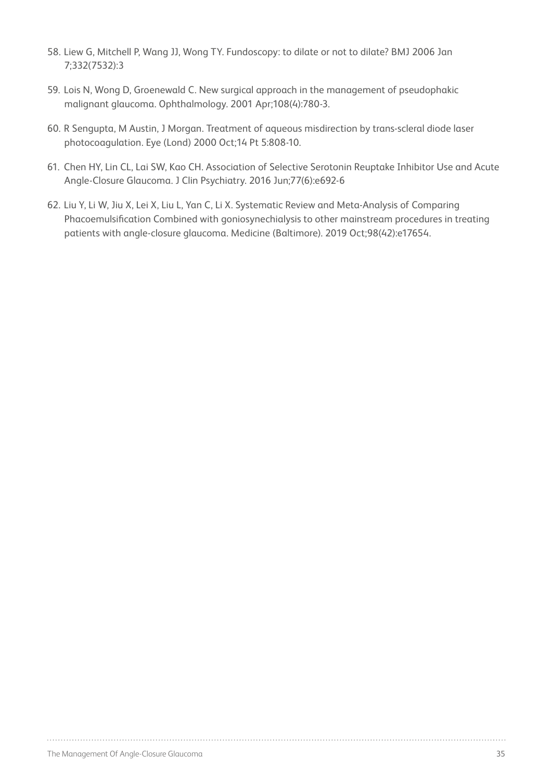- 58. Liew G, Mitchell P, Wang JJ, Wong TY. Fundoscopy: to dilate or not to dilate? BMJ 2006 Jan 7;332(7532):3
- 59. Lois N, Wong D, Groenewald C. New surgical approach in the management of pseudophakic malignant glaucoma. Ophthalmology. 2001 Apr;108(4):780-3.
- 60. R Sengupta, M Austin, J Morgan. Treatment of aqueous misdirection by trans-scleral diode laser photocoagulation. Eye (Lond) 2000 Oct;14 Pt 5:808-10.
- 61. Chen HY, Lin CL, Lai SW, Kao CH. Association of Selective Serotonin Reuptake Inhibitor Use and Acute Angle-Closure Glaucoma. J Clin Psychiatry. 2016 Jun;77(6):e692-6
- 62. Liu Y, Li W, Jiu X, Lei X, Liu L, Yan C, Li X. Systematic Review and Meta-Analysis of Comparing Phacoemulsification Combined with goniosynechialysis to other mainstream procedures in treating patients with angle-closure glaucoma. Medicine (Baltimore). 2019 Oct;98(42):e17654.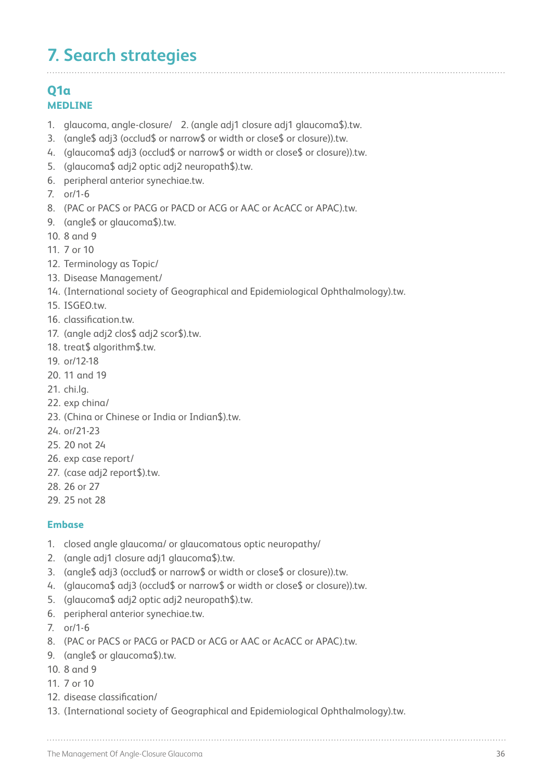## **7. Search strategies**

### **Q1a MEDLINE**

- 1. glaucoma, angle-closure/ 2. (angle adj1 closure adj1 glaucoma\$).tw.
- 3. (angle\$ adj3 (occlud\$ or narrow\$ or width or close\$ or closure)).tw.
- 4. (glaucoma\$ adj3 (occlud\$ or narrow\$ or width or close\$ or closure)).tw.
- 5. (glaucoma\$ adj2 optic adj2 neuropath\$).tw.
- 6. peripheral anterior synechiae.tw.
- 7. or/1-6
- 8. (PAC or PACS or PACG or PACD or ACG or AAC or AcACC or APAC).tw.
- 9. (angle\$ or glaucoma\$).tw.
- 10. 8 and 9
- 11. 7 or 10
- 12. Terminology as Topic/
- 13. Disease Management/
- 14. (International society of Geographical and Epidemiological Ophthalmology).tw.
- 15. ISGEO.tw
- 16. classification.tw.
- 17. (angle adj2 clos\$ adj2 scor\$).tw.
- 18. treat\$ algorithm\$.tw.
- 19. or/12-18
- 20. 11 and 19
- 21. chi.lg.
- 22. exp china/
- 23. (China or Chinese or India or Indian\$).tw.
- 24. or/21-23
- 25. 20 not 24
- 26. exp case report/
- 27. (case adj2 report\$).tw.
- 28. 26 or 27
- 29. 25 not 28

#### **Embase**

- 1. closed angle glaucoma/ or glaucomatous optic neuropathy/
- 2. (angle adj1 closure adj1 glaucoma\$).tw.
- 3. (angle\$ adj3 (occlud\$ or narrow\$ or width or close\$ or closure)).tw.
- 4. (glaucoma\$ adj3 (occlud\$ or narrow\$ or width or close\$ or closure)).tw.
- 5. (glaucoma\$ adj2 optic adj2 neuropath\$).tw.
- 6. peripheral anterior synechiae.tw.
- 7. or/1-6
- 8. (PAC or PACS or PACG or PACD or ACG or AAC or AcACC or APAC).tw.
- 9. (angle\$ or glaucoma\$).tw.
- 10. 8 and 9
- 11. 7 or 10
- 12. disease classification/
- 13. (International society of Geographical and Epidemiological Ophthalmology).tw.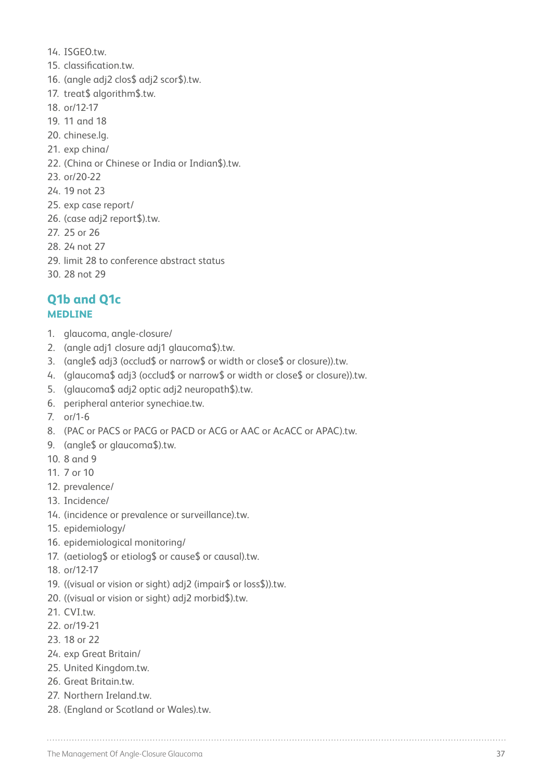- 14. ISGEO.tw.
- 15. classification.tw.
- 16. (angle adj2 clos\$ adj2 scor\$).tw.
- 17. treat\$ algorithm\$.tw.
- 18. or/12-17
- 19. 11 and 18
- 20. chinese.lg.
- 21. exp china/
- 22. (China or Chinese or India or Indian\$).tw.
- 23. or/20-22
- 24. 19 not 23
- 25. exp case report/
- 26. (case adj2 report\$).tw.
- 27. 25 or 26
- 28. 24 not 27
- 29. limit 28 to conference abstract status
- 30. 28 not 29

## **Q1b and Q1c MEDLINE**

- 1. glaucoma, angle-closure/
- 2. (angle adj1 closure adj1 glaucoma\$).tw.
- 3. (angle\$ adj3 (occlud\$ or narrow\$ or width or close\$ or closure)).tw.
- 4. (glaucoma\$ adj3 (occlud\$ or narrow\$ or width or close\$ or closure)).tw.
- 5. (glaucoma\$ adj2 optic adj2 neuropath\$).tw.
- 6. peripheral anterior synechiae.tw.
- 7. or/1-6
- 8. (PAC or PACS or PACG or PACD or ACG or AAC or AcACC or APAC).tw.
- 9. (angle\$ or glaucoma\$).tw.
- 10. 8 and 9
- 11. 7 or 10
- 12. prevalence/
- 13. Incidence/
- 14. (incidence or prevalence or surveillance).tw.
- 15. epidemiology/
- 16. epidemiological monitoring/
- 17. (aetiolog\$ or etiolog\$ or cause\$ or causal).tw.
- 18. or/12-17
- 19. ((visual or vision or sight) adj2 (impair\$ or loss\$)).tw.
- 20. ((visual or vision or sight) adj2 morbid\$).tw.
- 21. CVI.tw.
- 22. or/19-21
- 23. 18 or 22
- 24. exp Great Britain/
- 25. United Kingdom.tw.
- 26. Great Britain.tw.
- 27. Northern Ireland.tw.
- 28. (England or Scotland or Wales).tw.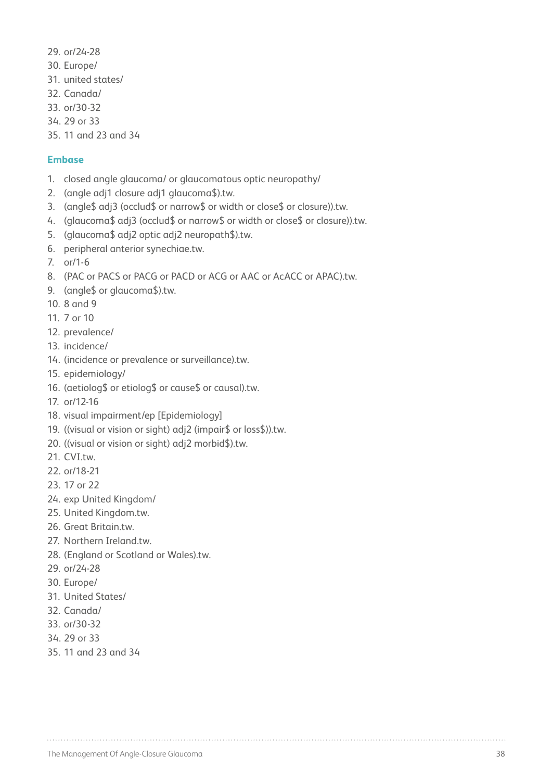- 29. or/24-28
- 30. Europe/
- 31. united states/
- 32. Canada/
- 33. or/30-32
- 34. 29 or 33
- 35. 11 and 23 and 34

#### **Embase**

- 1. closed angle glaucoma/ or glaucomatous optic neuropathy/
- 2. (angle adj1 closure adj1 glaucoma\$).tw.
- 3. (angle\$ adj3 (occlud\$ or narrow\$ or width or close\$ or closure)).tw.
- 4. (glaucoma\$ adj3 (occlud\$ or narrow\$ or width or close\$ or closure)).tw.
- 5. (glaucoma\$ adj2 optic adj2 neuropath\$).tw.
- 6. peripheral anterior synechiae.tw.
- 7. or/1-6
- 8. (PAC or PACS or PACG or PACD or ACG or AAC or AcACC or APAC).tw.
- 9. (angle\$ or glaucoma\$).tw.
- 10. 8 and 9
- 11. 7 or 10
- 12. prevalence/
- 13. incidence/
- 14. (incidence or prevalence or surveillance).tw.
- 15. epidemiology/
- 16. (aetiolog\$ or etiolog\$ or cause\$ or causal).tw.
- 17. or/12-16
- 18. visual impairment/ep [Epidemiology]
- 19. ((visual or vision or sight) adj2 (impair\$ or loss\$)).tw.
- 20. ((visual or vision or sight) adj2 morbid\$).tw.
- 21. CVI.tw.
- 22. or/18-21
- 23. 17 or 22
- 24. exp United Kingdom/
- 25. United Kingdom.tw.
- 26. Great Britain.tw.
- 27. Northern Ireland.tw.
- 28. (England or Scotland or Wales).tw.
- 29. or/24-28
- 30. Europe/
- 31. United States/
- 32. Canada/
- 33. or/30-32
- 34. 29 or 33
- 35. 11 and 23 and 34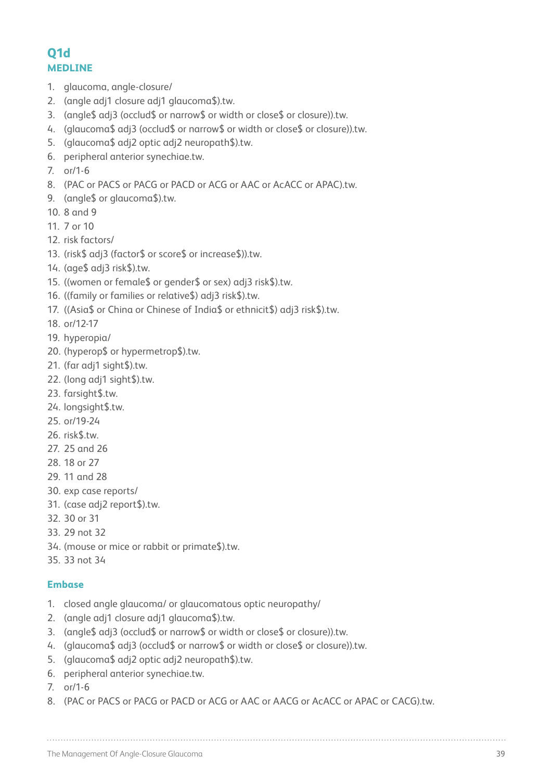## **Q1d MEDLINE**

- 1. glaucoma, angle-closure/
- 2. (angle adj1 closure adj1 glaucoma\$).tw.
- 3. (angle\$ adj3 (occlud\$ or narrow\$ or width or close\$ or closure)).tw.
- 4. (glaucoma\$ adj3 (occlud\$ or narrow\$ or width or close\$ or closure)).tw.
- 5. (glaucoma\$ adj2 optic adj2 neuropath\$).tw.
- 6. peripheral anterior synechiae.tw.
- 7. or/1-6
- 8. (PAC or PACS or PACG or PACD or ACG or AAC or AcACC or APAC).tw.
- 9. (angle\$ or glaucoma\$).tw.
- 10. 8 and 9
- 11. 7 or 10
- 12. risk factors/
- 13. (risk\$ adj3 (factor\$ or score\$ or increase\$)).tw.
- 14. (age\$ adj3 risk\$).tw.
- 15. ((women or female\$ or gender\$ or sex) adj3 risk\$).tw.
- 16. ((family or families or relative\$) adj3 risk\$).tw.
- 17. ((Asia\$ or China or Chinese of India\$ or ethnicit\$) adj3 risk\$).tw.
- 18. or/12-17
- 19. hyperopia/
- 20. (hyperop\$ or hypermetrop\$).tw.
- 21. (far adj1 sight\$).tw.
- 22. (long adj1 sight\$).tw.
- 23. farsight\$.tw.
- 24. longsight\$.tw.
- 25. or/19-24
- 26. risk\$.tw.
- 27. 25 and 26
- 28. 18 or 27
- 29. 11 and 28
- 30. exp case reports/
- 31. (case adj2 report\$).tw.
- 32. 30 or 31
- 33. 29 not 32
- 34. (mouse or mice or rabbit or primate\$).tw.
- 35. 33 not 34

#### **Embase**

- 1. closed angle glaucoma/ or glaucomatous optic neuropathy/
- 2. (angle adj1 closure adj1 glaucoma\$).tw.
- 3. (angle\$ adj3 (occlud\$ or narrow\$ or width or close\$ or closure)).tw.
- 4. (glaucoma\$ adj3 (occlud\$ or narrow\$ or width or close\$ or closure)).tw.
- 5. (glaucoma\$ adj2 optic adj2 neuropath\$).tw.
- 6. peripheral anterior synechiae.tw.
- 7. or/1-6
- 8. (PAC or PACS or PACG or PACD or ACG or AAC or AACG or AcACC or APAC or CACG).tw.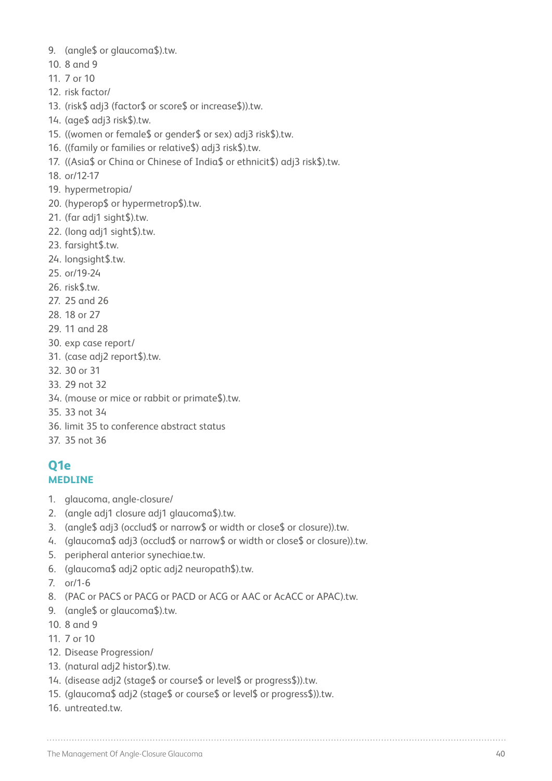- 9. (angle\$ or glaucoma\$).tw.
- 10. 8 and 9
- 11. 7 or 10
- 12. risk factor/
- 13. (risk\$ adj3 (factor\$ or score\$ or increase\$)).tw.
- 14. (age\$ adj3 risk\$).tw.
- 15. ((women or female\$ or gender\$ or sex) adj3 risk\$).tw.
- 16. ((family or families or relative\$) adj3 risk\$).tw.
- 17. ((Asia\$ or China or Chinese of India\$ or ethnicit\$) adj3 risk\$).tw.
- 18. or/12-17
- 19. hypermetropia/
- 20. (hyperop\$ or hypermetrop\$).tw.
- 21. (far adj1 sight\$).tw.
- 22. (long adj1 sight\$).tw.
- 23. farsight\$.tw.
- 24. longsight\$.tw.
- 25. or/19-24
- 26. risk\$.tw.
- 27. 25 and 26
- 28. 18 or 27
- 29. 11 and 28
- 30. exp case report/
- 31. (case adj2 report\$).tw.
- 32. 30 or 31
- 33. 29 not 32
- 34. (mouse or mice or rabbit or primate\$).tw.
- 35. 33 not 34
- 36. limit 35 to conference abstract status
- 37. 35 not 36

#### **Q1e MEDLINE**

- 1. glaucoma, angle-closure/
- 2. (angle adj1 closure adj1 glaucoma\$).tw.
- 3. (angle\$ adj3 (occlud\$ or narrow\$ or width or close\$ or closure)).tw.
- 4. (glaucoma\$ adj3 (occlud\$ or narrow\$ or width or close\$ or closure)).tw.
- 5. peripheral anterior synechiae.tw.
- 6. (glaucoma\$ adj2 optic adj2 neuropath\$).tw.
- 7. or/1-6
- 8. (PAC or PACS or PACG or PACD or ACG or AAC or AcACC or APAC).tw.
- 9. (angle\$ or glaucoma\$).tw.
- 10. 8 and 9
- 11. 7 or 10
- 12. Disease Progression/
- 13. (natural adj2 histor\$).tw.
- 14. (disease adj2 (stage\$ or course\$ or level\$ or progress\$)).tw.
- 15. (glaucoma\$ adj2 (stage\$ or course\$ or level\$ or progress\$)).tw.
- 16. untreated.tw.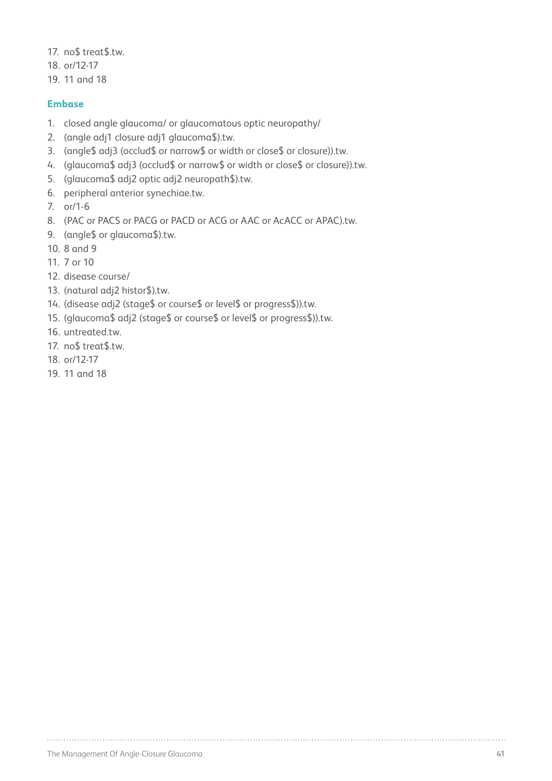17. no\$ treat\$.tw.

- 18. or/12-17
- 19. 11 and 18

#### **Embase**

- 1. closed angle glaucoma/ or glaucomatous optic neuropathy/
- 2. (angle adj1 closure adj1 glaucoma\$).tw.
- 3. (angle\$ adj3 (occlud\$ or narrow\$ or width or close\$ or closure)).tw.
- 4. (glaucoma\$ adj3 (occlud\$ or narrow\$ or width or close\$ or closure)).tw.
- 5. (glaucoma\$ adj2 optic adj2 neuropath\$).tw.
- 6. peripheral anterior synechiae.tw.
- 7. or/1-6
- 8. (PAC or PACS or PACG or PACD or ACG or AAC or AcACC or APAC).tw.
- 9. (angle\$ or glaucoma\$).tw.
- 10. 8 and 9
- 11. 7 or 10
- 12. disease course/
- 13. (natural adj2 histor\$).tw.
- 14. (disease adj2 (stage\$ or course\$ or level\$ or progress\$)).tw.
- 15. (glaucoma\$ adj2 (stage\$ or course\$ or level\$ or progress\$)).tw.
- 16 untreated tw
- 17. no\$ treat\$.tw.
- 18. or/12-17
- 19. 11 and 18